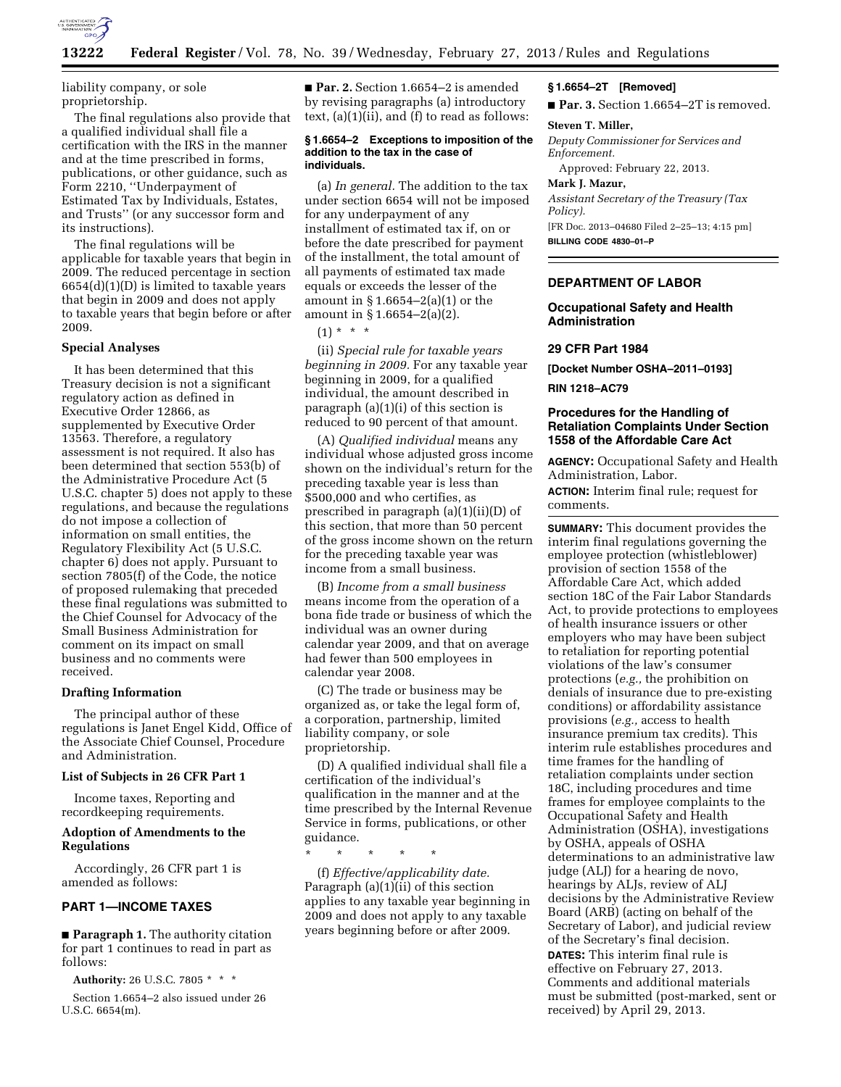

liability company, or sole proprietorship.

The final regulations also provide that a qualified individual shall file a certification with the IRS in the manner and at the time prescribed in forms, publications, or other guidance, such as Form 2210, ''Underpayment of Estimated Tax by Individuals, Estates, and Trusts'' (or any successor form and its instructions).

The final regulations will be applicable for taxable years that begin in 2009. The reduced percentage in section  $6654(d)(1)(D)$  is limited to taxable years that begin in 2009 and does not apply to taxable years that begin before or after 2009.

## **Special Analyses**

It has been determined that this Treasury decision is not a significant regulatory action as defined in Executive Order 12866, as supplemented by Executive Order 13563. Therefore, a regulatory assessment is not required. It also has been determined that section 553(b) of the Administrative Procedure Act (5 U.S.C. chapter 5) does not apply to these regulations, and because the regulations do not impose a collection of information on small entities, the Regulatory Flexibility Act (5 U.S.C. chapter 6) does not apply. Pursuant to section 7805(f) of the Code, the notice of proposed rulemaking that preceded these final regulations was submitted to the Chief Counsel for Advocacy of the Small Business Administration for comment on its impact on small business and no comments were received.

## **Drafting Information**

The principal author of these regulations is Janet Engel Kidd, Office of the Associate Chief Counsel, Procedure and Administration.

## **List of Subjects in 26 CFR Part 1**

Income taxes, Reporting and recordkeeping requirements.

### **Adoption of Amendments to the Regulations**

Accordingly, 26 CFR part 1 is amended as follows:

## **PART 1—INCOME TAXES**

■ **Paragraph 1.** The authority citation for part 1 continues to read in part as follows:

**Authority:** 26 U.S.C. 7805 \* \* \*

Section 1.6654–2 also issued under 26 U.S.C. 6654(m).

■ **Par. 2.** Section 1.6654–2 is amended by revising paragraphs (a) introductory text, (a)(1)(ii), and (f) to read as follows:

### **§ 1.6654–2 Exceptions to imposition of the addition to the tax in the case of individuals.**

(a) *In general.* The addition to the tax under section 6654 will not be imposed for any underpayment of any installment of estimated tax if, on or before the date prescribed for payment of the installment, the total amount of all payments of estimated tax made equals or exceeds the lesser of the amount in § 1.6654–2(a)(1) or the amount in § 1.6654–2(a)(2).

 $(1) * * * *$ 

(ii) *Special rule for taxable years beginning in 2009.* For any taxable year beginning in 2009, for a qualified individual, the amount described in paragraph (a)(1)(i) of this section is reduced to 90 percent of that amount.

(A) *Qualified individual* means any individual whose adjusted gross income shown on the individual's return for the preceding taxable year is less than \$500,000 and who certifies, as prescribed in paragraph (a)(1)(ii)(D) of this section, that more than 50 percent of the gross income shown on the return for the preceding taxable year was income from a small business.

(B) *Income from a small business*  means income from the operation of a bona fide trade or business of which the individual was an owner during calendar year 2009, and that on average had fewer than 500 employees in calendar year 2008.

(C) The trade or business may be organized as, or take the legal form of, a corporation, partnership, limited liability company, or sole proprietorship.

(D) A qualified individual shall file a certification of the individual's qualification in the manner and at the time prescribed by the Internal Revenue Service in forms, publications, or other guidance.

\* \* \* \* \*

(f) *Effective/applicability date.*  Paragraph (a)(1)(ii) of this section applies to any taxable year beginning in 2009 and does not apply to any taxable years beginning before or after 2009.

#### **§ 1.6654–2T [Removed]**

■ Par. 3. Section 1.6654-2T is removed.

#### **Steven T. Miller,**

*Deputy Commissioner for Services and Enforcement.* 

Approved: February 22, 2013.

### **Mark J. Mazur,**

*Assistant Secretary of the Treasury (Tax Policy).* 

[FR Doc. 2013–04680 Filed 2–25–13; 4:15 pm] **BILLING CODE 4830–01–P** 

## **DEPARTMENT OF LABOR**

## **Occupational Safety and Health Administration**

## **29 CFR Part 1984**

**[Docket Number OSHA–2011–0193]** 

### **RIN 1218–AC79**

## **Procedures for the Handling of Retaliation Complaints Under Section 1558 of the Affordable Care Act**

**AGENCY:** Occupational Safety and Health Administration, Labor. **ACTION:** Interim final rule; request for comments.

**SUMMARY:** This document provides the interim final regulations governing the employee protection (whistleblower) provision of section 1558 of the Affordable Care Act, which added section 18C of the Fair Labor Standards Act, to provide protections to employees of health insurance issuers or other employers who may have been subject to retaliation for reporting potential violations of the law's consumer protections (*e.g.,* the prohibition on denials of insurance due to pre-existing conditions) or affordability assistance provisions (*e.g.,* access to health insurance premium tax credits). This interim rule establishes procedures and time frames for the handling of retaliation complaints under section 18C, including procedures and time frames for employee complaints to the Occupational Safety and Health Administration (OSHA), investigations by OSHA, appeals of OSHA determinations to an administrative law judge (ALJ) for a hearing de novo, hearings by ALJs, review of ALJ decisions by the Administrative Review Board (ARB) (acting on behalf of the Secretary of Labor), and judicial review of the Secretary's final decision. **DATES:** This interim final rule is effective on February 27, 2013. Comments and additional materials must be submitted (post-marked, sent or received) by April 29, 2013.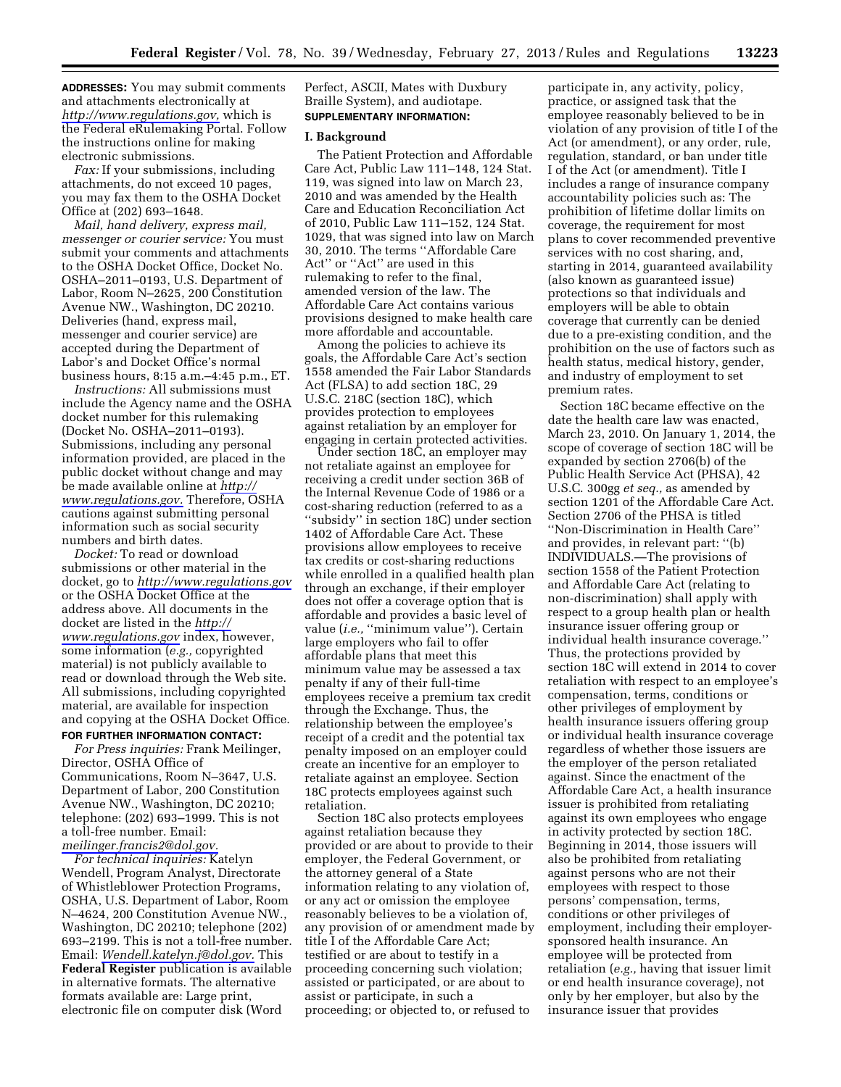**ADDRESSES:** You may submit comments and attachments electronically at *[http://www.regulations.gov,](http://www.regulations.gov)* which is the Federal eRulemaking Portal. Follow the instructions online for making electronic submissions.

*Fax:* If your submissions, including attachments, do not exceed 10 pages, you may fax them to the OSHA Docket Office at (202) 693–1648.

*Mail, hand delivery, express mail, messenger or courier service:* You must submit your comments and attachments to the OSHA Docket Office, Docket No. OSHA–2011–0193, U.S. Department of Labor, Room N–2625, 200 Constitution Avenue NW., Washington, DC 20210. Deliveries (hand, express mail, messenger and courier service) are accepted during the Department of Labor's and Docket Office's normal business hours, 8:15 a.m.–4:45 p.m., ET.

*Instructions:* All submissions must include the Agency name and the OSHA docket number for this rulemaking (Docket No. OSHA–2011–0193). Submissions, including any personal information provided, are placed in the public docket without change and may be made available online at *[http://](http://www.regulations.gov)  [www.regulations.gov.](http://www.regulations.gov)* Therefore, OSHA cautions against submitting personal information such as social security numbers and birth dates.

*Docket:* To read or download submissions or other material in the docket, go to *<http://www.regulations.gov>*  or the OSHA Docket Office at the address above. All documents in the docket are listed in the *[http://](http://www.regulations.gov) [www.regulations.gov](http://www.regulations.gov)* index, however, some information (*e.g.,* copyrighted material) is not publicly available to read or download through the Web site. All submissions, including copyrighted material, are available for inspection and copying at the OSHA Docket Office.

## **FOR FURTHER INFORMATION CONTACT:**

*For Press inquiries:* Frank Meilinger, Director, OSHA Office of Communications, Room N–3647, U.S. Department of Labor, 200 Constitution Avenue NW., Washington, DC 20210; telephone: (202) 693–1999. This is not a toll-free number. Email: *[meilinger.francis2@dol.gov.](mailto:meilinger.francis2@dol.gov)* 

*For technical inquiries:* Katelyn Wendell, Program Analyst, Directorate of Whistleblower Protection Programs, OSHA, U.S. Department of Labor, Room N–4624, 200 Constitution Avenue NW., Washington, DC 20210; telephone (202) 693–2199. This is not a toll-free number. Email: *[Wendell.katelyn.j@dol.gov.](mailto:Wendell.katelyn.j@dol.gov)* This **Federal Register** publication is available in alternative formats. The alternative formats available are: Large print, electronic file on computer disk (Word

Perfect, ASCII, Mates with Duxbury Braille System), and audiotape. **SUPPLEMENTARY INFORMATION:** 

#### **I. Background**

The Patient Protection and Affordable Care Act, Public Law 111–148, 124 Stat. 119, was signed into law on March 23, 2010 and was amended by the Health Care and Education Reconciliation Act of 2010, Public Law 111–152, 124 Stat. 1029, that was signed into law on March 30, 2010. The terms ''Affordable Care Act'' or ''Act'' are used in this rulemaking to refer to the final, amended version of the law. The Affordable Care Act contains various provisions designed to make health care more affordable and accountable.

Among the policies to achieve its goals, the Affordable Care Act's section 1558 amended the Fair Labor Standards Act (FLSA) to add section 18C, 29 U.S.C. 218C (section 18C), which provides protection to employees against retaliation by an employer for engaging in certain protected activities.

Under section 18C, an employer may not retaliate against an employee for receiving a credit under section 36B of the Internal Revenue Code of 1986 or a cost-sharing reduction (referred to as a ''subsidy'' in section 18C) under section 1402 of Affordable Care Act. These provisions allow employees to receive tax credits or cost-sharing reductions while enrolled in a qualified health plan through an exchange, if their employer does not offer a coverage option that is affordable and provides a basic level of value (*i.e.,* ''minimum value''). Certain large employers who fail to offer affordable plans that meet this minimum value may be assessed a tax penalty if any of their full-time employees receive a premium tax credit through the Exchange. Thus, the relationship between the employee's receipt of a credit and the potential tax penalty imposed on an employer could create an incentive for an employer to retaliate against an employee. Section 18C protects employees against such retaliation.

Section 18C also protects employees against retaliation because they provided or are about to provide to their employer, the Federal Government, or the attorney general of a State information relating to any violation of, or any act or omission the employee reasonably believes to be a violation of, any provision of or amendment made by title I of the Affordable Care Act; testified or are about to testify in a proceeding concerning such violation; assisted or participated, or are about to assist or participate, in such a proceeding; or objected to, or refused to

participate in, any activity, policy, practice, or assigned task that the employee reasonably believed to be in violation of any provision of title I of the Act (or amendment), or any order, rule, regulation, standard, or ban under title I of the Act (or amendment). Title I includes a range of insurance company accountability policies such as: The prohibition of lifetime dollar limits on coverage, the requirement for most plans to cover recommended preventive services with no cost sharing, and, starting in 2014, guaranteed availability (also known as guaranteed issue) protections so that individuals and employers will be able to obtain coverage that currently can be denied due to a pre-existing condition, and the prohibition on the use of factors such as health status, medical history, gender, and industry of employment to set premium rates.

Section 18C became effective on the date the health care law was enacted, March 23, 2010. On January 1, 2014, the scope of coverage of section 18C will be expanded by section 2706(b) of the Public Health Service Act (PHSA), 42 U.S.C. 300gg *et seq.,* as amended by section 1201 of the Affordable Care Act. Section 2706 of the PHSA is titled ''Non-Discrimination in Health Care'' and provides, in relevant part: ''(b) INDIVIDUALS.—The provisions of section 1558 of the Patient Protection and Affordable Care Act (relating to non-discrimination) shall apply with respect to a group health plan or health insurance issuer offering group or individual health insurance coverage.'' Thus, the protections provided by section 18C will extend in 2014 to cover retaliation with respect to an employee's compensation, terms, conditions or other privileges of employment by health insurance issuers offering group or individual health insurance coverage regardless of whether those issuers are the employer of the person retaliated against. Since the enactment of the Affordable Care Act, a health insurance issuer is prohibited from retaliating against its own employees who engage in activity protected by section 18C. Beginning in 2014, those issuers will also be prohibited from retaliating against persons who are not their employees with respect to those persons' compensation, terms, conditions or other privileges of employment, including their employersponsored health insurance. An employee will be protected from retaliation (*e.g.,* having that issuer limit or end health insurance coverage), not only by her employer, but also by the insurance issuer that provides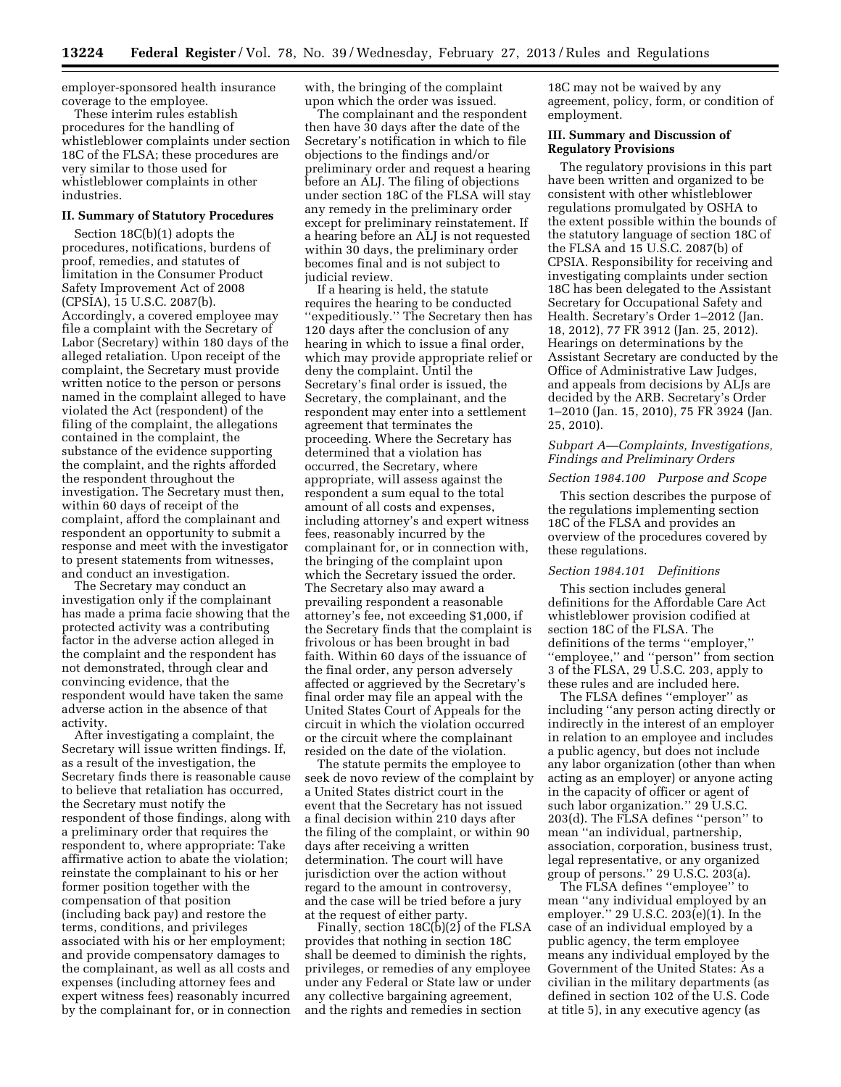employer-sponsored health insurance coverage to the employee.

These interim rules establish procedures for the handling of whistleblower complaints under section 18C of the FLSA; these procedures are very similar to those used for whistleblower complaints in other industries.

## **II. Summary of Statutory Procedures**

Section 18C(b)(1) adopts the procedures, notifications, burdens of proof, remedies, and statutes of limitation in the Consumer Product Safety Improvement Act of 2008 (CPSIA), 15 U.S.C. 2087(b). Accordingly, a covered employee may file a complaint with the Secretary of Labor (Secretary) within 180 days of the alleged retaliation. Upon receipt of the complaint, the Secretary must provide written notice to the person or persons named in the complaint alleged to have violated the Act (respondent) of the filing of the complaint, the allegations contained in the complaint, the substance of the evidence supporting the complaint, and the rights afforded the respondent throughout the investigation. The Secretary must then, within 60 days of receipt of the complaint, afford the complainant and respondent an opportunity to submit a response and meet with the investigator to present statements from witnesses, and conduct an investigation.

The Secretary may conduct an investigation only if the complainant has made a prima facie showing that the protected activity was a contributing factor in the adverse action alleged in the complaint and the respondent has not demonstrated, through clear and convincing evidence, that the respondent would have taken the same adverse action in the absence of that activity.

After investigating a complaint, the Secretary will issue written findings. If, as a result of the investigation, the Secretary finds there is reasonable cause to believe that retaliation has occurred, the Secretary must notify the respondent of those findings, along with a preliminary order that requires the respondent to, where appropriate: Take affirmative action to abate the violation; reinstate the complainant to his or her former position together with the compensation of that position (including back pay) and restore the terms, conditions, and privileges associated with his or her employment; and provide compensatory damages to the complainant, as well as all costs and expenses (including attorney fees and expert witness fees) reasonably incurred by the complainant for, or in connection

with, the bringing of the complaint upon which the order was issued.

The complainant and the respondent then have 30 days after the date of the Secretary's notification in which to file objections to the findings and/or preliminary order and request a hearing before an ALJ. The filing of objections under section 18C of the FLSA will stay any remedy in the preliminary order except for preliminary reinstatement. If a hearing before an ALJ is not requested within 30 days, the preliminary order becomes final and is not subject to judicial review.

If a hearing is held, the statute requires the hearing to be conducted ''expeditiously.'' The Secretary then has 120 days after the conclusion of any hearing in which to issue a final order, which may provide appropriate relief or deny the complaint. Until the Secretary's final order is issued, the Secretary, the complainant, and the respondent may enter into a settlement agreement that terminates the proceeding. Where the Secretary has determined that a violation has occurred, the Secretary, where appropriate, will assess against the respondent a sum equal to the total amount of all costs and expenses, including attorney's and expert witness fees, reasonably incurred by the complainant for, or in connection with, the bringing of the complaint upon which the Secretary issued the order. The Secretary also may award a prevailing respondent a reasonable attorney's fee, not exceeding \$1,000, if the Secretary finds that the complaint is frivolous or has been brought in bad faith. Within 60 days of the issuance of the final order, any person adversely affected or aggrieved by the Secretary's final order may file an appeal with the United States Court of Appeals for the circuit in which the violation occurred or the circuit where the complainant resided on the date of the violation.

The statute permits the employee to seek de novo review of the complaint by a United States district court in the event that the Secretary has not issued a final decision within 210 days after the filing of the complaint, or within 90 days after receiving a written determination. The court will have jurisdiction over the action without regard to the amount in controversy, and the case will be tried before a jury at the request of either party.

Finally, section  $18C(b)(2)$  of the FLSA provides that nothing in section 18C shall be deemed to diminish the rights, privileges, or remedies of any employee under any Federal or State law or under any collective bargaining agreement, and the rights and remedies in section

18C may not be waived by any agreement, policy, form, or condition of employment.

## **III. Summary and Discussion of Regulatory Provisions**

The regulatory provisions in this part have been written and organized to be consistent with other whistleblower regulations promulgated by OSHA to the extent possible within the bounds of the statutory language of section 18C of the FLSA and 15 U.S.C. 2087(b) of CPSIA. Responsibility for receiving and investigating complaints under section 18C has been delegated to the Assistant Secretary for Occupational Safety and Health. Secretary's Order 1–2012 (Jan. 18, 2012), 77 FR 3912 (Jan. 25, 2012). Hearings on determinations by the Assistant Secretary are conducted by the Office of Administrative Law Judges, and appeals from decisions by ALJs are decided by the ARB. Secretary's Order 1–2010 (Jan. 15, 2010), 75 FR 3924 (Jan. 25, 2010).

## *Subpart A—Complaints, Investigations, Findings and Preliminary Orders*

#### *Section 1984.100 Purpose and Scope*

This section describes the purpose of the regulations implementing section 18C of the FLSA and provides an overview of the procedures covered by these regulations.

#### *Section 1984.101 Definitions*

This section includes general definitions for the Affordable Care Act whistleblower provision codified at section 18C of the FLSA. The definitions of the terms ''employer,'' ''employee,'' and ''person'' from section 3 of the FLSA, 29 U.S.C. 203, apply to these rules and are included here.

The FLSA defines ''employer'' as including ''any person acting directly or indirectly in the interest of an employer in relation to an employee and includes a public agency, but does not include any labor organization (other than when acting as an employer) or anyone acting in the capacity of officer or agent of such labor organization.'' 29 U.S.C. 203(d). The FLSA defines ''person'' to mean ''an individual, partnership, association, corporation, business trust, legal representative, or any organized group of persons.'' 29 U.S.C. 203(a).

The FLSA defines ''employee'' to mean ''any individual employed by an employer.'' 29 U.S.C. 203(e)(1). In the case of an individual employed by a public agency, the term employee means any individual employed by the Government of the United States: As a civilian in the military departments (as defined in section 102 of the U.S. Code at title 5), in any executive agency (as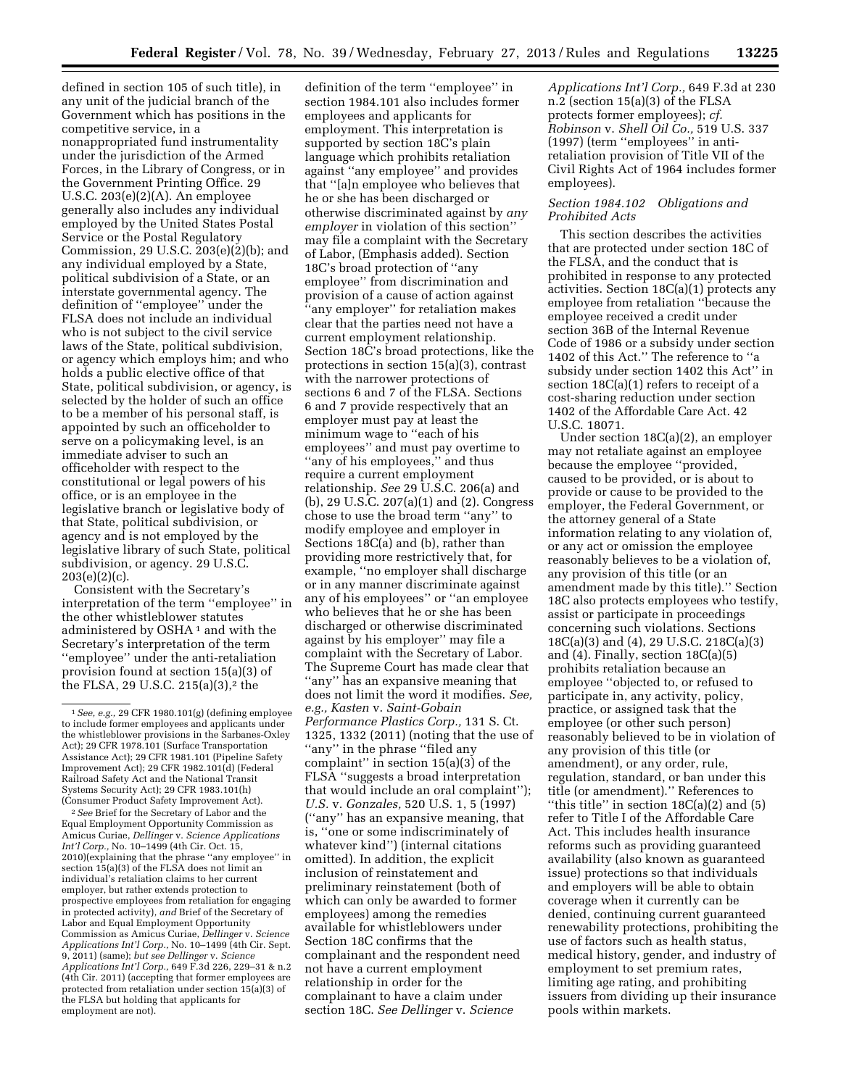defined in section 105 of such title), in any unit of the judicial branch of the Government which has positions in the competitive service, in a nonappropriated fund instrumentality under the jurisdiction of the Armed Forces, in the Library of Congress, or in the Government Printing Office. 29 U.S.C. 203(e)(2)(A). An employee generally also includes any individual employed by the United States Postal Service or the Postal Regulatory Commission, 29 U.S.C. 203(e)(2)(b); and any individual employed by a State, political subdivision of a State, or an interstate governmental agency. The definition of ''employee'' under the FLSA does not include an individual who is not subject to the civil service laws of the State, political subdivision, or agency which employs him; and who holds a public elective office of that State, political subdivision, or agency, is selected by the holder of such an office to be a member of his personal staff, is appointed by such an officeholder to serve on a policymaking level, is an immediate adviser to such an officeholder with respect to the constitutional or legal powers of his office, or is an employee in the legislative branch or legislative body of that State, political subdivision, or agency and is not employed by the legislative library of such State, political subdivision, or agency. 29 U.S.C. 203(e)(2)(c).

Consistent with the Secretary's interpretation of the term ''employee'' in the other whistleblower statutes administered by OSHA<sup>1</sup> and with the Secretary's interpretation of the term ''employee'' under the anti-retaliation provision found at section 15(a)(3) of the FLSA, 29 U.S.C. 215(a)(3),2 the

2*See* Brief for the Secretary of Labor and the Equal Employment Opportunity Commission as Amicus Curiae, *Dellinger* v. *Science Applications Int'l Corp.,* No. 10–1499 (4th Cir. Oct. 15, 2010)(explaining that the phrase ''any employee'' in section 15(a)(3) of the FLSA does not limit an individual's retaliation claims to her current employer, but rather extends protection to prospective employees from retaliation for engaging in protected activity), *and* Brief of the Secretary of Labor and Equal Employment Opportunity Commission as Amicus Curiae, *Dellinger* v. *Science Applications Int'l Corp.,* No. 10–1499 (4th Cir. Sept. 9, 2011) (same); *but see Dellinger* v. *Science Applications Int'l Corp.,* 649 F.3d 226, 229–31 & n.2 (4th Cir. 2011) (accepting that former employees are protected from retaliation under section 15(a)(3) of the FLSA but holding that applicants for employment are not).

definition of the term ''employee'' in section 1984.101 also includes former employees and applicants for employment. This interpretation is supported by section 18C's plain language which prohibits retaliation against ''any employee'' and provides that ''[a]n employee who believes that he or she has been discharged or otherwise discriminated against by *any employer* in violation of this section'' may file a complaint with the Secretary of Labor, (Emphasis added). Section 18C's broad protection of ''any employee'' from discrimination and provision of a cause of action against ''any employer'' for retaliation makes clear that the parties need not have a current employment relationship. Section 18C's broad protections, like the protections in section 15(a)(3), contrast with the narrower protections of sections 6 and 7 of the FLSA. Sections 6 and 7 provide respectively that an employer must pay at least the minimum wage to ''each of his employees'' and must pay overtime to ''any of his employees,'' and thus require a current employment relationship. *See* 29 U.S.C. 206(a) and (b), 29 U.S.C. 207(a)(1) and (2). Congress chose to use the broad term ''any'' to modify employee and employer in Sections 18C(a) and (b), rather than providing more restrictively that, for example, ''no employer shall discharge or in any manner discriminate against any of his employees'' or ''an employee who believes that he or she has been discharged or otherwise discriminated against by his employer'' may file a complaint with the Secretary of Labor. The Supreme Court has made clear that ''any'' has an expansive meaning that does not limit the word it modifies. *See, e.g., Kasten* v. *Saint-Gobain Performance Plastics Corp.,* 131 S. Ct. 1325, 1332 (2011) (noting that the use of ''any'' in the phrase ''filed any complaint'' in section 15(a)(3) of the FLSA ''suggests a broad interpretation that would include an oral complaint''); *U.S.* v. *Gonzales,* 520 U.S. 1, 5 (1997) (''any'' has an expansive meaning, that is, ''one or some indiscriminately of whatever kind'') (internal citations omitted). In addition, the explicit inclusion of reinstatement and preliminary reinstatement (both of which can only be awarded to former employees) among the remedies available for whistleblowers under Section 18C confirms that the complainant and the respondent need not have a current employment relationship in order for the complainant to have a claim under section 18C. *See Dellinger* v. *Science* 

*Applications Int'l Corp.,* 649 F.3d at 230 n.2 (section 15(a)(3) of the FLSA protects former employees); *cf. Robinson* v. *Shell Oil Co.,* 519 U.S. 337 (1997) (term ''employees'' in antiretaliation provision of Title VII of the Civil Rights Act of 1964 includes former employees).

## *Section 1984.102 Obligations and Prohibited Acts*

This section describes the activities that are protected under section 18C of the FLSA, and the conduct that is prohibited in response to any protected activities. Section 18C(a)(1) protects any employee from retaliation ''because the employee received a credit under section 36B of the Internal Revenue Code of 1986 or a subsidy under section 1402 of this Act.'' The reference to ''a subsidy under section 1402 this Act'' in section 18C(a)(1) refers to receipt of a cost-sharing reduction under section 1402 of the Affordable Care Act. 42 U.S.C. 18071.

Under section 18C(a)(2), an employer may not retaliate against an employee because the employee ''provided, caused to be provided, or is about to provide or cause to be provided to the employer, the Federal Government, or the attorney general of a State information relating to any violation of, or any act or omission the employee reasonably believes to be a violation of, any provision of this title (or an amendment made by this title).'' Section 18C also protects employees who testify, assist or participate in proceedings concerning such violations. Sections 18C(a)(3) and (4), 29 U.S.C. 218C(a)(3) and (4). Finally, section 18C(a)(5) prohibits retaliation because an employee ''objected to, or refused to participate in, any activity, policy, practice, or assigned task that the employee (or other such person) reasonably believed to be in violation of any provision of this title (or amendment), or any order, rule, regulation, standard, or ban under this title (or amendment).'' References to ''this title'' in section 18C(a)(2) and (5) refer to Title I of the Affordable Care Act. This includes health insurance reforms such as providing guaranteed availability (also known as guaranteed issue) protections so that individuals and employers will be able to obtain coverage when it currently can be denied, continuing current guaranteed renewability protections, prohibiting the use of factors such as health status, medical history, gender, and industry of employment to set premium rates, limiting age rating, and prohibiting issuers from dividing up their insurance pools within markets.

<sup>1</sup>*See, e.g.,* 29 CFR 1980.101(g) (defining employee to include former employees and applicants under the whistleblower provisions in the Sarbanes-Oxley Act); 29 CFR 1978.101 (Surface Transportation Assistance Act); 29 CFR 1981.101 (Pipeline Safety Improvement Act); 29 CFR 1982.101(d) (Federal Railroad Safety Act and the National Transit Systems Security Act); 29 CFR 1983.101(h) (Consumer Product Safety Improvement Act).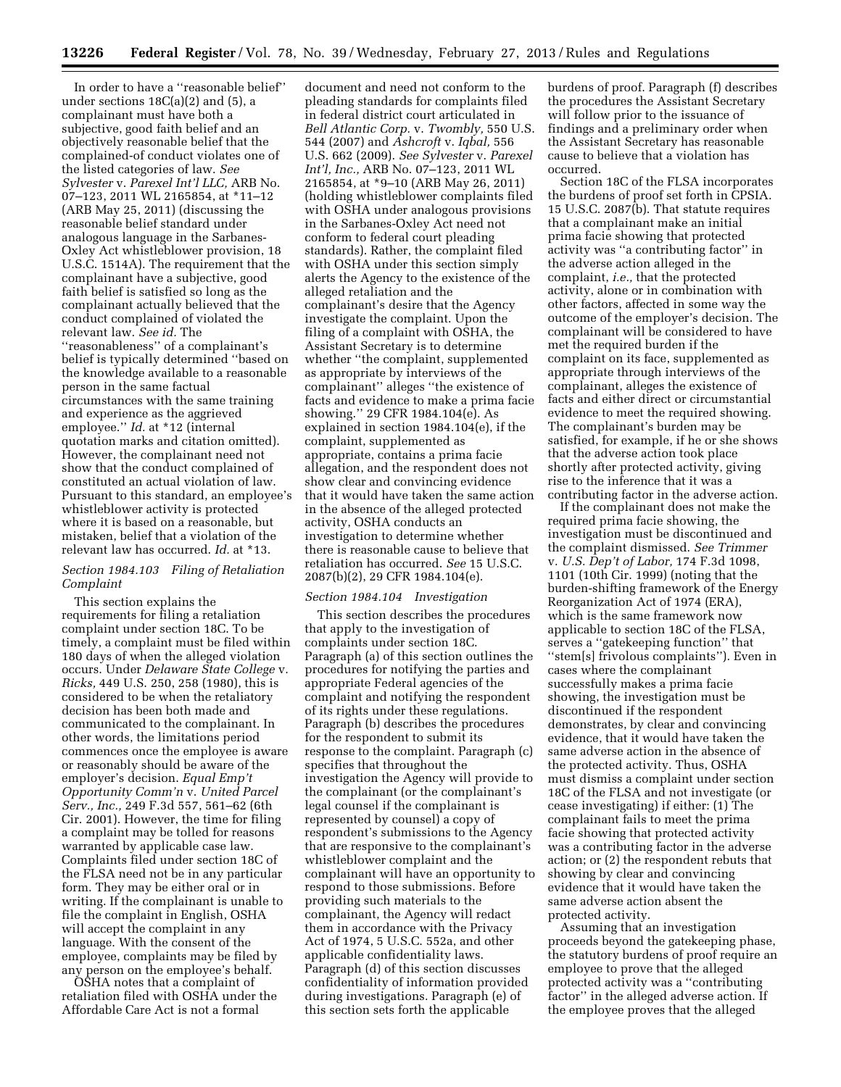In order to have a ''reasonable belief'' under sections 18C(a)(2) and (5), a complainant must have both a subjective, good faith belief and an objectively reasonable belief that the complained-of conduct violates one of the listed categories of law. *See Sylvester* v. *Parexel Int'l LLC,* ARB No. 07–123, 2011 WL 2165854, at \*11–12 (ARB May 25, 2011) (discussing the reasonable belief standard under analogous language in the Sarbanes-Oxley Act whistleblower provision, 18 U.S.C. 1514A). The requirement that the complainant have a subjective, good faith belief is satisfied so long as the complainant actually believed that the conduct complained of violated the relevant law. *See id.* The ''reasonableness'' of a complainant's belief is typically determined ''based on the knowledge available to a reasonable person in the same factual circumstances with the same training and experience as the aggrieved employee.'' *Id.* at \*12 (internal quotation marks and citation omitted). However, the complainant need not show that the conduct complained of constituted an actual violation of law. Pursuant to this standard, an employee's whistleblower activity is protected where it is based on a reasonable, but mistaken, belief that a violation of the relevant law has occurred. *Id.* at \*13.

## *Section 1984.103 Filing of Retaliation Complaint*

This section explains the requirements for filing a retaliation complaint under section 18C. To be timely, a complaint must be filed within 180 days of when the alleged violation occurs. Under *Delaware State College* v. *Ricks,* 449 U.S. 250, 258 (1980), this is considered to be when the retaliatory decision has been both made and communicated to the complainant. In other words, the limitations period commences once the employee is aware or reasonably should be aware of the employer's decision. *Equal Emp't Opportunity Comm'n* v. *United Parcel Serv., Inc.,* 249 F.3d 557, 561–62 (6th Cir. 2001). However, the time for filing a complaint may be tolled for reasons warranted by applicable case law. Complaints filed under section 18C of the FLSA need not be in any particular form. They may be either oral or in writing. If the complainant is unable to file the complaint in English, OSHA will accept the complaint in any language. With the consent of the employee, complaints may be filed by any person on the employee's behalf.

OSHA notes that a complaint of retaliation filed with OSHA under the Affordable Care Act is not a formal

document and need not conform to the pleading standards for complaints filed in federal district court articulated in *Bell Atlantic Corp.* v. *Twombly,* 550 U.S. 544 (2007) and *Ashcroft* v. *Iqbal,* 556 U.S. 662 (2009). *See Sylvester* v. *Parexel Int'l, Inc.,* ARB No. 07–123, 2011 WL 2165854, at \*9–10 (ARB May 26, 2011) (holding whistleblower complaints filed with OSHA under analogous provisions in the Sarbanes-Oxley Act need not conform to federal court pleading standards). Rather, the complaint filed with OSHA under this section simply alerts the Agency to the existence of the alleged retaliation and the complainant's desire that the Agency investigate the complaint. Upon the filing of a complaint with OSHA, the Assistant Secretary is to determine whether ''the complaint, supplemented as appropriate by interviews of the complainant'' alleges ''the existence of facts and evidence to make a prima facie showing.'' 29 CFR 1984.104(e). As explained in section 1984.104(e), if the complaint, supplemented as appropriate, contains a prima facie allegation, and the respondent does not show clear and convincing evidence that it would have taken the same action in the absence of the alleged protected activity, OSHA conducts an investigation to determine whether there is reasonable cause to believe that retaliation has occurred. *See* 15 U.S.C. 2087(b)(2), 29 CFR 1984.104(e).

#### *Section 1984.104 Investigation*

This section describes the procedures that apply to the investigation of complaints under section 18C. Paragraph (a) of this section outlines the procedures for notifying the parties and appropriate Federal agencies of the complaint and notifying the respondent of its rights under these regulations. Paragraph (b) describes the procedures for the respondent to submit its response to the complaint. Paragraph (c) specifies that throughout the investigation the Agency will provide to the complainant (or the complainant's legal counsel if the complainant is represented by counsel) a copy of respondent's submissions to the Agency that are responsive to the complainant's whistleblower complaint and the complainant will have an opportunity to respond to those submissions. Before providing such materials to the complainant, the Agency will redact them in accordance with the Privacy Act of 1974, 5 U.S.C. 552a, and other applicable confidentiality laws. Paragraph (d) of this section discusses confidentiality of information provided during investigations. Paragraph (e) of this section sets forth the applicable

burdens of proof. Paragraph (f) describes the procedures the Assistant Secretary will follow prior to the issuance of findings and a preliminary order when the Assistant Secretary has reasonable cause to believe that a violation has occurred.

Section 18C of the FLSA incorporates the burdens of proof set forth in CPSIA. 15 U.S.C. 2087(b). That statute requires that a complainant make an initial prima facie showing that protected activity was ''a contributing factor'' in the adverse action alleged in the complaint, *i.e.,* that the protected activity, alone or in combination with other factors, affected in some way the outcome of the employer's decision. The complainant will be considered to have met the required burden if the complaint on its face, supplemented as appropriate through interviews of the complainant, alleges the existence of facts and either direct or circumstantial evidence to meet the required showing. The complainant's burden may be satisfied, for example, if he or she shows that the adverse action took place shortly after protected activity, giving rise to the inference that it was a contributing factor in the adverse action.

If the complainant does not make the required prima facie showing, the investigation must be discontinued and the complaint dismissed. *See Trimmer*  v. *U.S. Dep't of Labor,* 174 F.3d 1098, 1101 (10th Cir. 1999) (noting that the burden-shifting framework of the Energy Reorganization Act of 1974 (ERA), which is the same framework now applicable to section 18C of the FLSA, serves a ''gatekeeping function'' that ''stem[s] frivolous complaints''). Even in cases where the complainant successfully makes a prima facie showing, the investigation must be discontinued if the respondent demonstrates, by clear and convincing evidence, that it would have taken the same adverse action in the absence of the protected activity. Thus, OSHA must dismiss a complaint under section 18C of the FLSA and not investigate (or cease investigating) if either: (1) The complainant fails to meet the prima facie showing that protected activity was a contributing factor in the adverse action; or (2) the respondent rebuts that showing by clear and convincing evidence that it would have taken the same adverse action absent the protected activity.

Assuming that an investigation proceeds beyond the gatekeeping phase, the statutory burdens of proof require an employee to prove that the alleged protected activity was a ''contributing factor'' in the alleged adverse action. If the employee proves that the alleged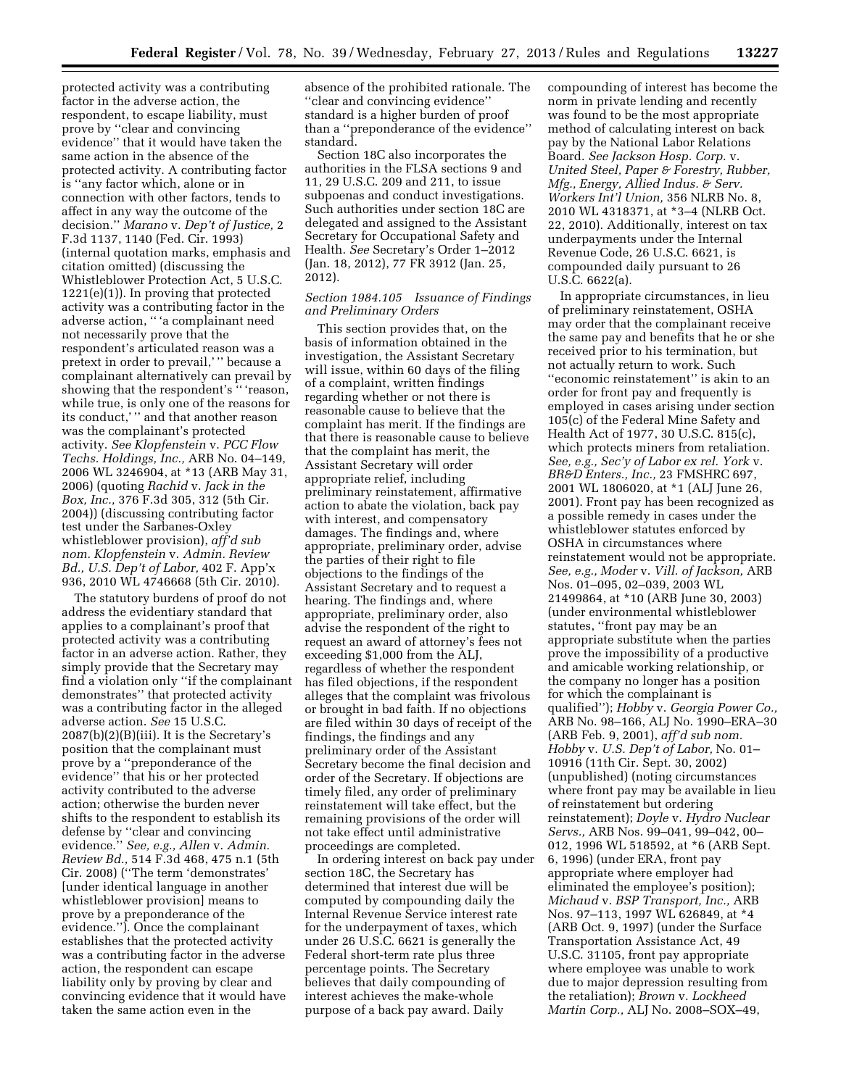protected activity was a contributing factor in the adverse action, the respondent, to escape liability, must prove by ''clear and convincing evidence'' that it would have taken the same action in the absence of the protected activity. A contributing factor is ''any factor which, alone or in connection with other factors, tends to affect in any way the outcome of the decision.'' *Marano* v. *Dep't of Justice,* 2 F.3d 1137, 1140 (Fed. Cir. 1993) (internal quotation marks, emphasis and citation omitted) (discussing the Whistleblower Protection Act, 5 U.S.C. 1221(e)(1)). In proving that protected activity was a contributing factor in the adverse action, '' 'a complainant need not necessarily prove that the respondent's articulated reason was a pretext in order to prevail,' '' because a complainant alternatively can prevail by showing that the respondent's '' 'reason, while true, is only one of the reasons for its conduct,' '' and that another reason was the complainant's protected activity. *See Klopfenstein* v. *PCC Flow Techs. Holdings, Inc.,* ARB No. 04–149, 2006 WL 3246904, at \*13 (ARB May 31, 2006) (quoting *Rachid* v. *Jack in the Box, Inc.,* 376 F.3d 305, 312 (5th Cir. 2004)) (discussing contributing factor test under the Sarbanes-Oxley whistleblower provision), *aff'd sub nom. Klopfenstein* v. *Admin. Review Bd., U.S. Dep't of Labor,* 402 F. App'x 936, 2010 WL 4746668 (5th Cir. 2010).

The statutory burdens of proof do not address the evidentiary standard that applies to a complainant's proof that protected activity was a contributing factor in an adverse action. Rather, they simply provide that the Secretary may find a violation only ''if the complainant demonstrates'' that protected activity was a contributing factor in the alleged adverse action. *See* 15 U.S.C. 2087(b)(2)(B)(iii). It is the Secretary's position that the complainant must prove by a ''preponderance of the evidence'' that his or her protected activity contributed to the adverse action; otherwise the burden never shifts to the respondent to establish its defense by ''clear and convincing evidence.'' *See, e.g., Allen* v. *Admin. Review Bd.,* 514 F.3d 468, 475 n.1 (5th Cir. 2008) (''The term 'demonstrates' [under identical language in another whistleblower provision] means to prove by a preponderance of the evidence.''). Once the complainant establishes that the protected activity was a contributing factor in the adverse action, the respondent can escape liability only by proving by clear and convincing evidence that it would have taken the same action even in the

absence of the prohibited rationale. The ''clear and convincing evidence'' standard is a higher burden of proof than a ''preponderance of the evidence'' standard.

Section 18C also incorporates the authorities in the FLSA sections 9 and 11, 29 U.S.C. 209 and 211, to issue subpoenas and conduct investigations. Such authorities under section 18C are delegated and assigned to the Assistant Secretary for Occupational Safety and Health. *See* Secretary's Order 1–2012 (Jan. 18, 2012), 77 FR 3912 (Jan. 25, 2012).

### *Section 1984.105 Issuance of Findings and Preliminary Orders*

This section provides that, on the basis of information obtained in the investigation, the Assistant Secretary will issue, within 60 days of the filing of a complaint, written findings regarding whether or not there is reasonable cause to believe that the complaint has merit. If the findings are that there is reasonable cause to believe that the complaint has merit, the Assistant Secretary will order appropriate relief, including preliminary reinstatement, affirmative action to abate the violation, back pay with interest, and compensatory damages. The findings and, where appropriate, preliminary order, advise the parties of their right to file objections to the findings of the Assistant Secretary and to request a hearing. The findings and, where appropriate, preliminary order, also advise the respondent of the right to request an award of attorney's fees not exceeding \$1,000 from the ALJ, regardless of whether the respondent has filed objections, if the respondent alleges that the complaint was frivolous or brought in bad faith. If no objections are filed within 30 days of receipt of the findings, the findings and any preliminary order of the Assistant Secretary become the final decision and order of the Secretary. If objections are timely filed, any order of preliminary reinstatement will take effect, but the remaining provisions of the order will not take effect until administrative proceedings are completed.

In ordering interest on back pay under section 18C, the Secretary has determined that interest due will be computed by compounding daily the Internal Revenue Service interest rate for the underpayment of taxes, which under 26 U.S.C. 6621 is generally the Federal short-term rate plus three percentage points. The Secretary believes that daily compounding of interest achieves the make-whole purpose of a back pay award. Daily

compounding of interest has become the norm in private lending and recently was found to be the most appropriate method of calculating interest on back pay by the National Labor Relations Board. *See Jackson Hosp. Corp.* v. *United Steel, Paper & Forestry, Rubber, Mfg., Energy, Allied Indus. & Serv. Workers Int'l Union,* 356 NLRB No. 8, 2010 WL 4318371, at \*3–4 (NLRB Oct. 22, 2010). Additionally, interest on tax underpayments under the Internal Revenue Code, 26 U.S.C. 6621, is compounded daily pursuant to 26 U.S.C. 6622(a).

In appropriate circumstances, in lieu of preliminary reinstatement, OSHA may order that the complainant receive the same pay and benefits that he or she received prior to his termination, but not actually return to work. Such ''economic reinstatement'' is akin to an order for front pay and frequently is employed in cases arising under section 105(c) of the Federal Mine Safety and Health Act of 1977, 30 U.S.C. 815(c), which protects miners from retaliation. *See, e.g., Sec'y of Labor ex rel. York* v. *BR&D Enters., Inc.,* 23 FMSHRC 697, 2001 WL 1806020, at \*1 (ALJ June 26, 2001). Front pay has been recognized as a possible remedy in cases under the whistleblower statutes enforced by OSHA in circumstances where reinstatement would not be appropriate. *See, e.g., Moder* v. *Vill. of Jackson,* ARB Nos. 01–095, 02–039, 2003 WL 21499864, at \*10 (ARB June 30, 2003) (under environmental whistleblower statutes, ''front pay may be an appropriate substitute when the parties prove the impossibility of a productive and amicable working relationship, or the company no longer has a position for which the complainant is qualified''); *Hobby* v. *Georgia Power Co.,*  ARB No. 98–166, ALJ No. 1990–ERA–30 (ARB Feb. 9, 2001), *aff'd sub nom. Hobby* v. *U.S. Dep't of Labor,* No. 01– 10916 (11th Cir. Sept. 30, 2002) (unpublished) (noting circumstances where front pay may be available in lieu of reinstatement but ordering reinstatement); *Doyle* v. *Hydro Nuclear Servs.,* ARB Nos. 99–041, 99–042, 00– 012, 1996 WL 518592, at \*6 (ARB Sept. 6, 1996) (under ERA, front pay appropriate where employer had eliminated the employee's position); *Michaud* v. *BSP Transport, Inc.,* ARB Nos. 97–113, 1997 WL 626849, at \*4 (ARB Oct. 9, 1997) (under the Surface Transportation Assistance Act, 49 U.S.C. 31105, front pay appropriate where employee was unable to work due to major depression resulting from the retaliation); *Brown* v. *Lockheed Martin Corp.,* ALJ No. 2008–SOX–49,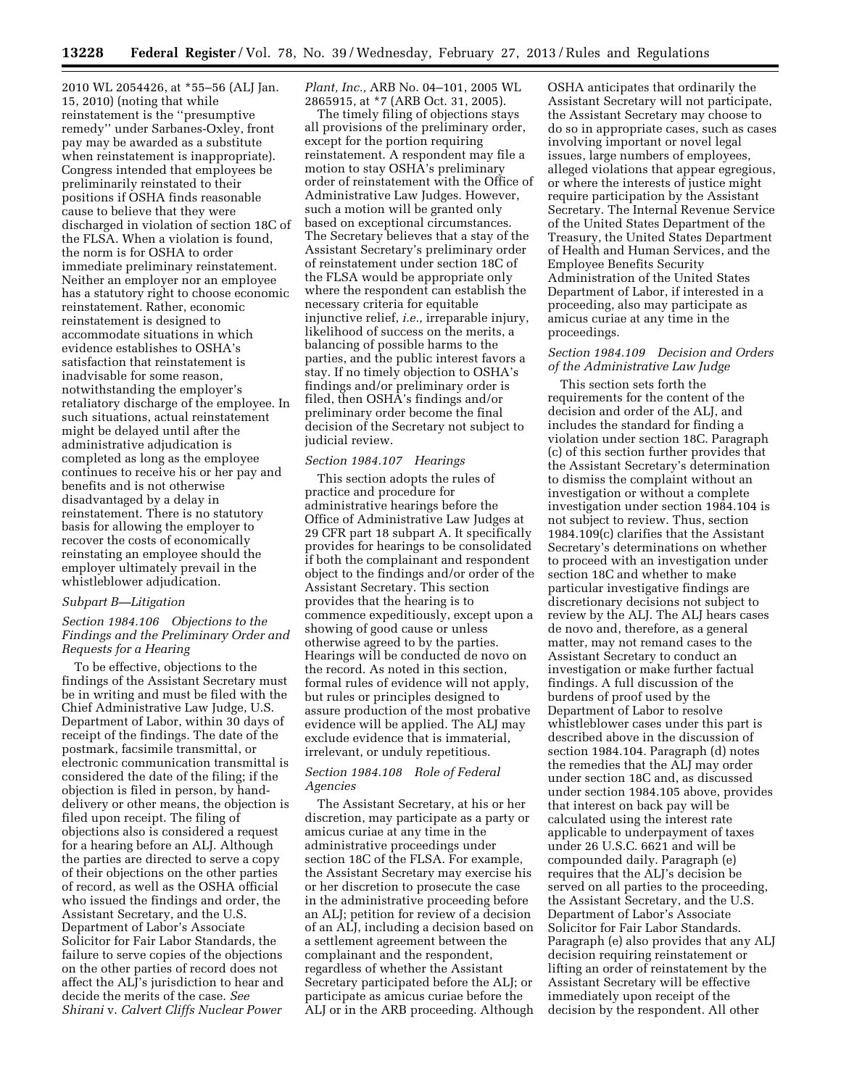2010 WL 2054426, at \*55–56 (ALJ Jan. 15, 2010) (noting that while reinstatement is the ''presumptive remedy'' under Sarbanes-Oxley, front pay may be awarded as a substitute when reinstatement is inappropriate). Congress intended that employees be preliminarily reinstated to their positions if OSHA finds reasonable cause to believe that they were discharged in violation of section 18C of the FLSA. When a violation is found, the norm is for OSHA to order immediate preliminary reinstatement. Neither an employer nor an employee has a statutory right to choose economic reinstatement. Rather, economic reinstatement is designed to accommodate situations in which evidence establishes to OSHA's satisfaction that reinstatement is inadvisable for some reason, notwithstanding the employer's retaliatory discharge of the employee. In such situations, actual reinstatement might be delayed until after the administrative adjudication is completed as long as the employee continues to receive his or her pay and benefits and is not otherwise disadvantaged by a delay in reinstatement. There is no statutory basis for allowing the employer to recover the costs of economically reinstating an employee should the employer ultimately prevail in the whistleblower adjudication.

## *Subpart B—Litigation*

### *Section 1984.106 Objections to the Findings and the Preliminary Order and Requests for a Hearing*

To be effective, objections to the findings of the Assistant Secretary must be in writing and must be filed with the Chief Administrative Law Judge, U.S. Department of Labor, within 30 days of receipt of the findings. The date of the postmark, facsimile transmittal, or electronic communication transmittal is considered the date of the filing; if the objection is filed in person, by handdelivery or other means, the objection is filed upon receipt. The filing of objections also is considered a request for a hearing before an ALJ. Although the parties are directed to serve a copy of their objections on the other parties of record, as well as the OSHA official who issued the findings and order, the Assistant Secretary, and the U.S. Department of Labor's Associate Solicitor for Fair Labor Standards, the failure to serve copies of the objections on the other parties of record does not affect the ALJ's jurisdiction to hear and decide the merits of the case. *See Shirani* v. *Calvert Cliffs Nuclear Power* 

*Plant, Inc.,* ARB No. 04–101, 2005 WL 2865915, at \*7 (ARB Oct. 31, 2005).

The timely filing of objections stays all provisions of the preliminary order, except for the portion requiring reinstatement. A respondent may file a motion to stay OSHA's preliminary order of reinstatement with the Office of Administrative Law Judges. However, such a motion will be granted only based on exceptional circumstances. The Secretary believes that a stay of the Assistant Secretary's preliminary order of reinstatement under section 18C of the FLSA would be appropriate only where the respondent can establish the necessary criteria for equitable injunctive relief, *i.e.,* irreparable injury, likelihood of success on the merits, a balancing of possible harms to the parties, and the public interest favors a stay. If no timely objection to OSHA's findings and/or preliminary order is filed, then OSHA's findings and/or preliminary order become the final decision of the Secretary not subject to judicial review.

#### *Section 1984.107 Hearings*

This section adopts the rules of practice and procedure for administrative hearings before the Office of Administrative Law Judges at 29 CFR part 18 subpart A. It specifically provides for hearings to be consolidated if both the complainant and respondent object to the findings and/or order of the Assistant Secretary. This section provides that the hearing is to commence expeditiously, except upon a showing of good cause or unless otherwise agreed to by the parties. Hearings will be conducted de novo on the record. As noted in this section, formal rules of evidence will not apply, but rules or principles designed to assure production of the most probative evidence will be applied. The ALJ may exclude evidence that is immaterial, irrelevant, or unduly repetitious.

## *Section 1984.108 Role of Federal Agencies*

The Assistant Secretary, at his or her discretion, may participate as a party or amicus curiae at any time in the administrative proceedings under section 18C of the FLSA. For example, the Assistant Secretary may exercise his or her discretion to prosecute the case in the administrative proceeding before an ALJ; petition for review of a decision of an ALJ, including a decision based on a settlement agreement between the complainant and the respondent, regardless of whether the Assistant Secretary participated before the ALJ; or participate as amicus curiae before the ALJ or in the ARB proceeding. Although OSHA anticipates that ordinarily the Assistant Secretary will not participate, the Assistant Secretary may choose to do so in appropriate cases, such as cases involving important or novel legal issues, large numbers of employees, alleged violations that appear egregious, or where the interests of justice might require participation by the Assistant Secretary. The Internal Revenue Service of the United States Department of the Treasury, the United States Department of Health and Human Services, and the Employee Benefits Security Administration of the United States Department of Labor, if interested in a proceeding, also may participate as amicus curiae at any time in the proceedings.

### *Section 1984.109 Decision and Orders of the Administrative Law Judge*

This section sets forth the requirements for the content of the decision and order of the ALJ, and includes the standard for finding a violation under section 18C. Paragraph (c) of this section further provides that the Assistant Secretary's determination to dismiss the complaint without an investigation or without a complete investigation under section 1984.104 is not subject to review. Thus, section 1984.109(c) clarifies that the Assistant Secretary's determinations on whether to proceed with an investigation under section 18C and whether to make particular investigative findings are discretionary decisions not subject to review by the ALJ. The ALJ hears cases de novo and, therefore, as a general matter, may not remand cases to the Assistant Secretary to conduct an investigation or make further factual findings. A full discussion of the burdens of proof used by the Department of Labor to resolve whistleblower cases under this part is described above in the discussion of section 1984.104. Paragraph (d) notes the remedies that the ALJ may order under section 18C and, as discussed under section 1984.105 above, provides that interest on back pay will be calculated using the interest rate applicable to underpayment of taxes under 26 U.S.C. 6621 and will be compounded daily. Paragraph (e) requires that the ALJ's decision be served on all parties to the proceeding, the Assistant Secretary, and the U.S. Department of Labor's Associate Solicitor for Fair Labor Standards. Paragraph (e) also provides that any ALJ decision requiring reinstatement or lifting an order of reinstatement by the Assistant Secretary will be effective immediately upon receipt of the decision by the respondent. All other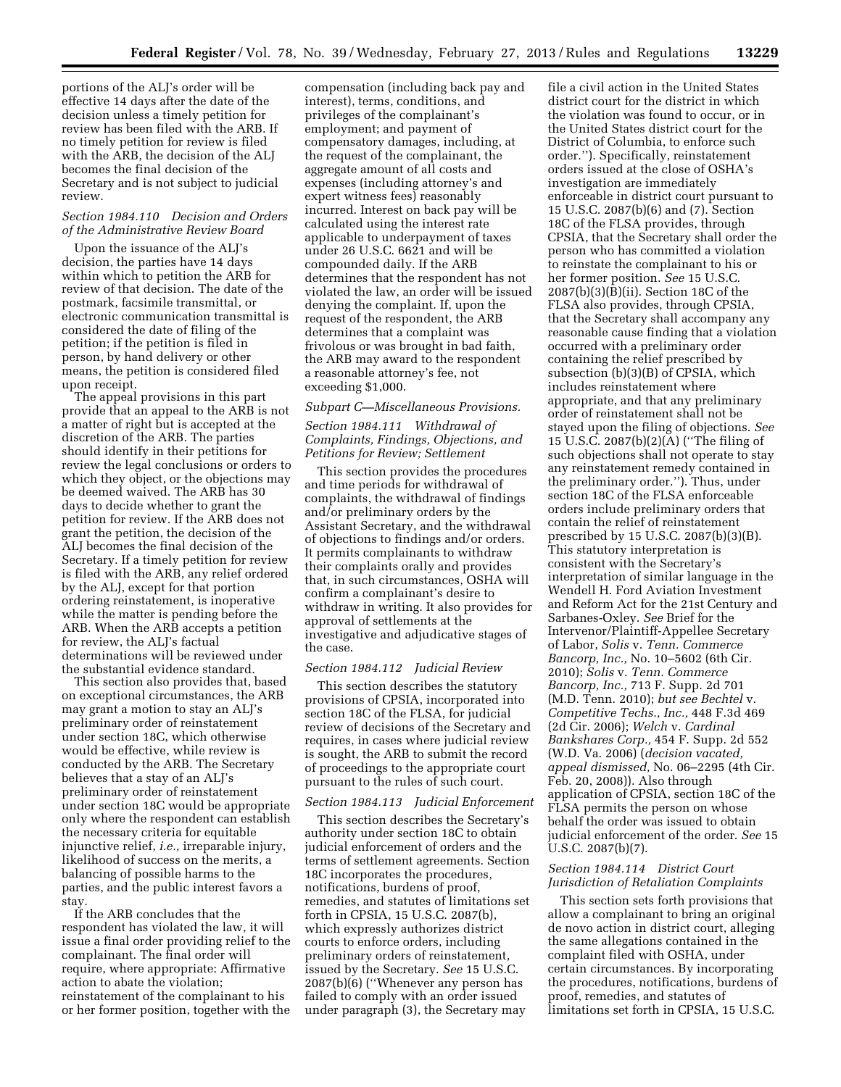portions of the ALJ's order will be effective 14 days after the date of the decision unless a timely petition for review has been filed with the ARB. If no timely petition for review is filed with the ARB, the decision of the ALJ becomes the final decision of the Secretary and is not subject to judicial review.

## *Section 1984.110 Decision and Orders of the Administrative Review Board*

Upon the issuance of the ALJ's decision, the parties have 14 days within which to petition the ARB for review of that decision. The date of the postmark, facsimile transmittal, or electronic communication transmittal is considered the date of filing of the petition; if the petition is filed in person, by hand delivery or other means, the petition is considered filed upon receipt.

The appeal provisions in this part provide that an appeal to the ARB is not a matter of right but is accepted at the discretion of the ARB. The parties should identify in their petitions for review the legal conclusions or orders to which they object, or the objections may be deemed waived. The ARB has 30 days to decide whether to grant the petition for review. If the ARB does not grant the petition, the decision of the ALJ becomes the final decision of the Secretary. If a timely petition for review is filed with the ARB, any relief ordered by the ALJ, except for that portion ordering reinstatement, is inoperative while the matter is pending before the ARB. When the ARB accepts a petition for review, the ALJ's factual determinations will be reviewed under the substantial evidence standard.

This section also provides that, based on exceptional circumstances, the ARB may grant a motion to stay an ALJ's preliminary order of reinstatement under section 18C, which otherwise would be effective, while review is conducted by the ARB. The Secretary believes that a stay of an ALJ's preliminary order of reinstatement under section 18C would be appropriate only where the respondent can establish the necessary criteria for equitable injunctive relief, *i.e.,* irreparable injury, likelihood of success on the merits, a balancing of possible harms to the parties, and the public interest favors a stay.

If the ARB concludes that the respondent has violated the law, it will issue a final order providing relief to the complainant. The final order will require, where appropriate: Affirmative action to abate the violation; reinstatement of the complainant to his or her former position, together with the

compensation (including back pay and interest), terms, conditions, and privileges of the complainant's employment; and payment of compensatory damages, including, at the request of the complainant, the aggregate amount of all costs and expenses (including attorney's and expert witness fees) reasonably incurred. Interest on back pay will be calculated using the interest rate applicable to underpayment of taxes under 26 U.S.C. 6621 and will be compounded daily. If the ARB determines that the respondent has not violated the law, an order will be issued denying the complaint. If, upon the request of the respondent, the ARB determines that a complaint was frivolous or was brought in bad faith, the ARB may award to the respondent a reasonable attorney's fee, not exceeding \$1,000.

## *Subpart C—Miscellaneous Provisions.*

*Section 1984.111 Withdrawal of Complaints, Findings, Objections, and Petitions for Review; Settlement* 

This section provides the procedures and time periods for withdrawal of complaints, the withdrawal of findings and/or preliminary orders by the Assistant Secretary, and the withdrawal of objections to findings and/or orders. It permits complainants to withdraw their complaints orally and provides that, in such circumstances, OSHA will confirm a complainant's desire to withdraw in writing. It also provides for approval of settlements at the investigative and adjudicative stages of the case.

### *Section 1984.112 Judicial Review*

This section describes the statutory provisions of CPSIA, incorporated into section 18C of the FLSA, for judicial review of decisions of the Secretary and requires, in cases where judicial review is sought, the ARB to submit the record of proceedings to the appropriate court pursuant to the rules of such court.

### *Section 1984.113 Judicial Enforcement*

This section describes the Secretary's authority under section 18C to obtain judicial enforcement of orders and the terms of settlement agreements. Section 18C incorporates the procedures, notifications, burdens of proof, remedies, and statutes of limitations set forth in CPSIA, 15 U.S.C. 2087(b), which expressly authorizes district courts to enforce orders, including preliminary orders of reinstatement, issued by the Secretary. *See* 15 U.S.C. 2087(b)(6) (''Whenever any person has failed to comply with an order issued under paragraph (3), the Secretary may

file a civil action in the United States district court for the district in which the violation was found to occur, or in the United States district court for the District of Columbia, to enforce such order.''). Specifically, reinstatement orders issued at the close of OSHA's investigation are immediately enforceable in district court pursuant to 15 U.S.C. 2087(b)(6) and (7). Section 18C of the FLSA provides, through CPSIA, that the Secretary shall order the person who has committed a violation to reinstate the complainant to his or her former position. *See* 15 U.S.C. 2087(b)(3)(B)(ii). Section 18C of the FLSA also provides, through CPSIA, that the Secretary shall accompany any reasonable cause finding that a violation occurred with a preliminary order containing the relief prescribed by subsection (b)(3)(B) of CPSIA, which includes reinstatement where appropriate, and that any preliminary order of reinstatement shall not be stayed upon the filing of objections. *See*  15 U.S.C. 2087(b)(2)(A) (''The filing of such objections shall not operate to stay any reinstatement remedy contained in the preliminary order.''). Thus, under section 18C of the FLSA enforceable orders include preliminary orders that contain the relief of reinstatement prescribed by 15 U.S.C. 2087(b)(3)(B). This statutory interpretation is consistent with the Secretary's interpretation of similar language in the Wendell H. Ford Aviation Investment and Reform Act for the 21st Century and Sarbanes-Oxley. *See* Brief for the Intervenor/Plaintiff-Appellee Secretary of Labor, *Solis* v. *Tenn. Commerce Bancorp, Inc.,* No. 10–5602 (6th Cir. 2010); *Solis* v. *Tenn. Commerce Bancorp, Inc.,* 713 F. Supp. 2d 701 (M.D. Tenn. 2010); *but see Bechtel* v. *Competitive Techs., Inc.,* 448 F.3d 469 (2d Cir. 2006); *Welch* v. *Cardinal Bankshares Corp.,* 454 F. Supp. 2d 552 (W.D. Va. 2006) (*decision vacated, appeal dismissed,* No. 06–2295 (4th Cir. Feb. 20, 2008)). Also through application of CPSIA, section 18C of the FLSA permits the person on whose behalf the order was issued to obtain judicial enforcement of the order. *See* 15 U.S.C. 2087(b)(7).

### *Section 1984.114 District Court Jurisdiction of Retaliation Complaints*

This section sets forth provisions that allow a complainant to bring an original de novo action in district court, alleging the same allegations contained in the complaint filed with OSHA, under certain circumstances. By incorporating the procedures, notifications, burdens of proof, remedies, and statutes of limitations set forth in CPSIA, 15 U.S.C.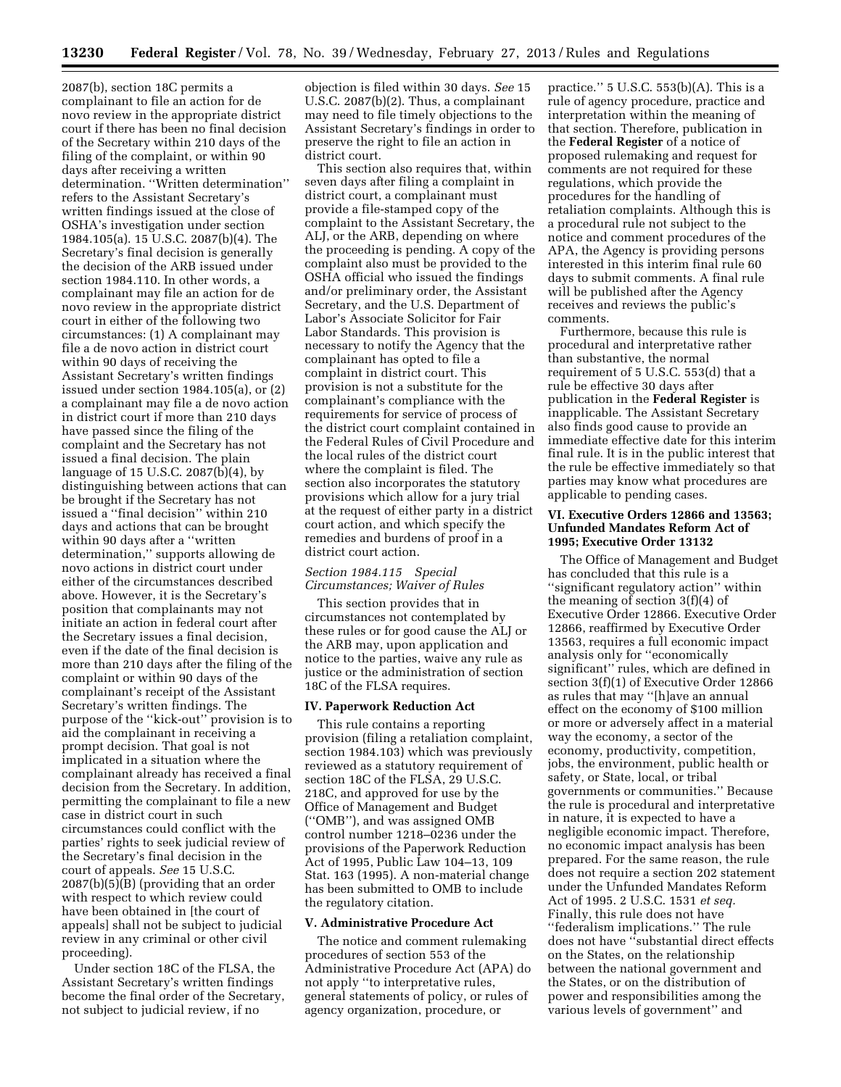2087(b), section 18C permits a complainant to file an action for de novo review in the appropriate district court if there has been no final decision of the Secretary within 210 days of the filing of the complaint, or within 90 days after receiving a written determination. ''Written determination'' refers to the Assistant Secretary's written findings issued at the close of OSHA's investigation under section 1984.105(a). 15 U.S.C. 2087(b)(4). The Secretary's final decision is generally the decision of the ARB issued under section 1984.110. In other words, a complainant may file an action for de novo review in the appropriate district court in either of the following two circumstances: (1) A complainant may file a de novo action in district court within 90 days of receiving the Assistant Secretary's written findings issued under section 1984.105(a), or (2) a complainant may file a de novo action in district court if more than 210 days have passed since the filing of the complaint and the Secretary has not issued a final decision. The plain language of 15 U.S.C. 2087(b)(4), by distinguishing between actions that can be brought if the Secretary has not issued a ''final decision'' within 210 days and actions that can be brought within 90 days after a ''written determination,'' supports allowing de novo actions in district court under either of the circumstances described above. However, it is the Secretary's position that complainants may not initiate an action in federal court after the Secretary issues a final decision, even if the date of the final decision is more than 210 days after the filing of the complaint or within 90 days of the complainant's receipt of the Assistant Secretary's written findings. The purpose of the ''kick-out'' provision is to aid the complainant in receiving a prompt decision. That goal is not implicated in a situation where the complainant already has received a final decision from the Secretary. In addition, permitting the complainant to file a new case in district court in such circumstances could conflict with the parties' rights to seek judicial review of the Secretary's final decision in the court of appeals. *See* 15 U.S.C. 2087(b)(5)(B) (providing that an order with respect to which review could have been obtained in [the court of appeals] shall not be subject to judicial review in any criminal or other civil proceeding).

Under section 18C of the FLSA, the Assistant Secretary's written findings become the final order of the Secretary, not subject to judicial review, if no

objection is filed within 30 days. *See* 15 U.S.C. 2087(b)(2). Thus, a complainant may need to file timely objections to the Assistant Secretary's findings in order to preserve the right to file an action in district court.

This section also requires that, within seven days after filing a complaint in district court, a complainant must provide a file-stamped copy of the complaint to the Assistant Secretary, the ALJ, or the ARB, depending on where the proceeding is pending. A copy of the complaint also must be provided to the OSHA official who issued the findings and/or preliminary order, the Assistant Secretary, and the U.S. Department of Labor's Associate Solicitor for Fair Labor Standards. This provision is necessary to notify the Agency that the complainant has opted to file a complaint in district court. This provision is not a substitute for the complainant's compliance with the requirements for service of process of the district court complaint contained in the Federal Rules of Civil Procedure and the local rules of the district court where the complaint is filed. The section also incorporates the statutory provisions which allow for a jury trial at the request of either party in a district court action, and which specify the remedies and burdens of proof in a district court action.

## *Section 1984.115 Special Circumstances; Waiver of Rules*

This section provides that in circumstances not contemplated by these rules or for good cause the ALJ or the ARB may, upon application and notice to the parties, waive any rule as justice or the administration of section 18C of the FLSA requires.

### **IV. Paperwork Reduction Act**

This rule contains a reporting provision (filing a retaliation complaint, section 1984.103) which was previously reviewed as a statutory requirement of section 18C of the FLSA, 29 U.S.C. 218C, and approved for use by the Office of Management and Budget (''OMB''), and was assigned OMB control number 1218–0236 under the provisions of the Paperwork Reduction Act of 1995, Public Law 104–13, 109 Stat. 163 (1995). A non-material change has been submitted to OMB to include the regulatory citation.

#### **V. Administrative Procedure Act**

The notice and comment rulemaking procedures of section 553 of the Administrative Procedure Act (APA) do not apply ''to interpretative rules, general statements of policy, or rules of agency organization, procedure, or

practice."  $5$  U.S.C.  $553(b)(A)$ . This is a rule of agency procedure, practice and interpretation within the meaning of that section. Therefore, publication in the **Federal Register** of a notice of proposed rulemaking and request for comments are not required for these regulations, which provide the procedures for the handling of retaliation complaints. Although this is a procedural rule not subject to the notice and comment procedures of the APA, the Agency is providing persons interested in this interim final rule 60 days to submit comments. A final rule will be published after the Agency receives and reviews the public's comments.

Furthermore, because this rule is procedural and interpretative rather than substantive, the normal requirement of 5 U.S.C. 553(d) that a rule be effective 30 days after publication in the **Federal Register** is inapplicable. The Assistant Secretary also finds good cause to provide an immediate effective date for this interim final rule. It is in the public interest that the rule be effective immediately so that parties may know what procedures are applicable to pending cases.

### **VI. Executive Orders 12866 and 13563; Unfunded Mandates Reform Act of 1995; Executive Order 13132**

The Office of Management and Budget has concluded that this rule is a ''significant regulatory action'' within the meaning of section 3(f)(4) of Executive Order 12866. Executive Order 12866, reaffirmed by Executive Order 13563, requires a full economic impact analysis only for ''economically significant'' rules, which are defined in section 3(f)(1) of Executive Order 12866 as rules that may ''[h]ave an annual effect on the economy of \$100 million or more or adversely affect in a material way the economy, a sector of the economy, productivity, competition, jobs, the environment, public health or safety, or State, local, or tribal governments or communities.'' Because the rule is procedural and interpretative in nature, it is expected to have a negligible economic impact. Therefore, no economic impact analysis has been prepared. For the same reason, the rule does not require a section 202 statement under the Unfunded Mandates Reform Act of 1995. 2 U.S.C. 1531 *et seq.*  Finally, this rule does not have ''federalism implications.'' The rule does not have ''substantial direct effects on the States, on the relationship between the national government and the States, or on the distribution of power and responsibilities among the various levels of government'' and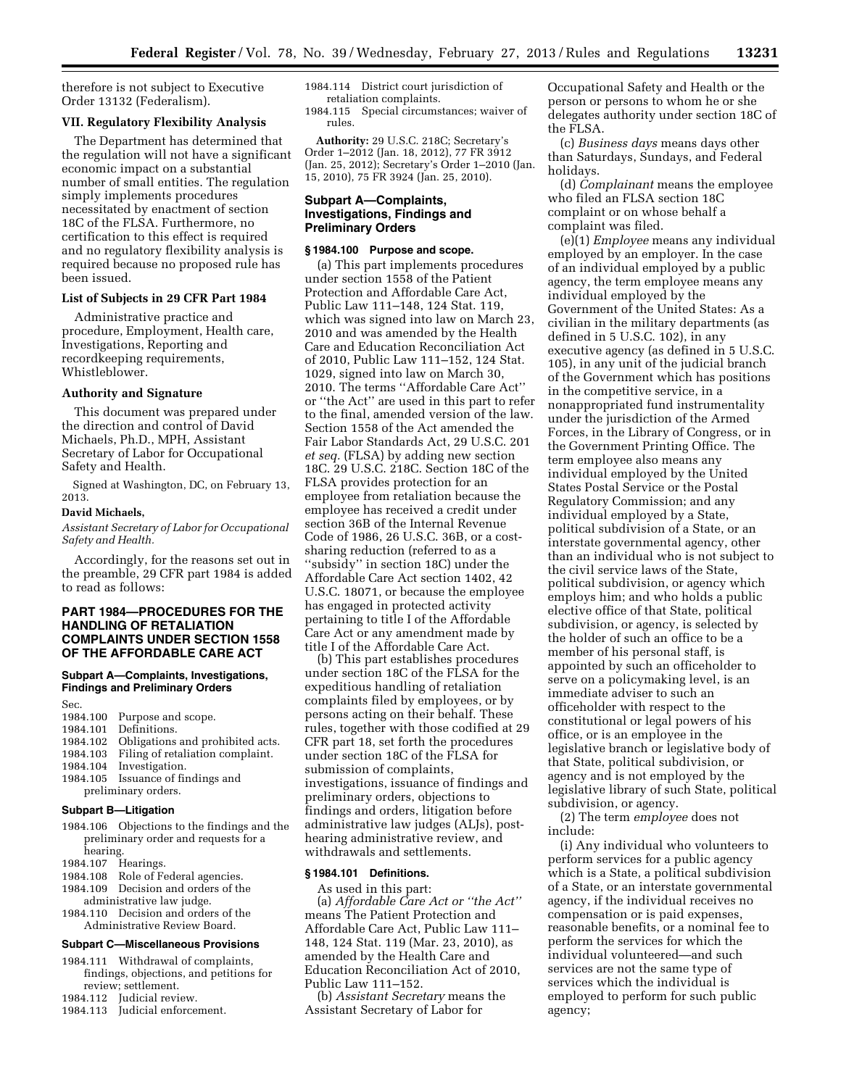therefore is not subject to Executive Order 13132 (Federalism).

### **VII. Regulatory Flexibility Analysis**

The Department has determined that the regulation will not have a significant economic impact on a substantial number of small entities. The regulation simply implements procedures necessitated by enactment of section 18C of the FLSA. Furthermore, no certification to this effect is required and no regulatory flexibility analysis is required because no proposed rule has been issued.

### **List of Subjects in 29 CFR Part 1984**

Administrative practice and procedure, Employment, Health care, Investigations, Reporting and recordkeeping requirements, Whistleblower.

#### **Authority and Signature**

This document was prepared under the direction and control of David Michaels, Ph.D., MPH, Assistant Secretary of Labor for Occupational Safety and Health.

Signed at Washington, DC, on February 13, 2013.

#### **David Michaels,**

*Assistant Secretary of Labor for Occupational Safety and Health.* 

Accordingly, for the reasons set out in the preamble, 29 CFR part 1984 is added to read as follows:

## **PART 1984—PROCEDURES FOR THE HANDLING OF RETALIATION COMPLAINTS UNDER SECTION 1558 OF THE AFFORDABLE CARE ACT**

## **Subpart A—Complaints, Investigations, Findings and Preliminary Orders**

Sec.

1984.100 Purpose and scope. 1984.101 Definitions.

- 
- 1984.102 Obligations and prohibited acts.<br>1984.103 Filing of retaliation complaint. Filing of retaliation complaint.
- 
- 1984.104 Investigation. 1984.105 Issuance of findings and preliminary orders.

### **Subpart B—Litigation**

- 1984.106 Objections to the findings and the preliminary order and requests for a hearing.<br>1984.107 F
- Hearings.
- 1984.108 Role of Federal agencies.
- 1984.109 Decision and orders of the administrative law judge.
- 1984.110 Decision and orders of the Administrative Review Board.

### **Subpart C—Miscellaneous Provisions**

- 1984.111 Withdrawal of complaints, findings, objections, and petitions for review; settlement.
- 1984.112 Judicial review.
- 1984.113 Judicial enforcement.

1984.114 District court jurisdiction of retaliation complaints.

1984.115 Special circumstances; waiver of rules.

**Authority:** 29 U.S.C. 218C; Secretary's Order 1–2012 (Jan. 18, 2012), 77 FR 3912 (Jan. 25, 2012); Secretary's Order 1–2010 (Jan. 15, 2010), 75 FR 3924 (Jan. 25, 2010).

## **Subpart A—Complaints, Investigations, Findings and Preliminary Orders**

### **§ 1984.100 Purpose and scope.**

(a) This part implements procedures under section 1558 of the Patient Protection and Affordable Care Act, Public Law 111–148, 124 Stat. 119, which was signed into law on March 23, 2010 and was amended by the Health Care and Education Reconciliation Act of 2010, Public Law 111–152, 124 Stat. 1029, signed into law on March 30, 2010. The terms ''Affordable Care Act'' or ''the Act'' are used in this part to refer to the final, amended version of the law. Section 1558 of the Act amended the Fair Labor Standards Act, 29 U.S.C. 201 *et seq.* (FLSA) by adding new section 18C. 29 U.S.C. 218C. Section 18C of the FLSA provides protection for an employee from retaliation because the employee has received a credit under section 36B of the Internal Revenue Code of 1986, 26 U.S.C. 36B, or a costsharing reduction (referred to as a ''subsidy'' in section 18C) under the Affordable Care Act section 1402, 42 U.S.C. 18071, or because the employee has engaged in protected activity pertaining to title I of the Affordable Care Act or any amendment made by title I of the Affordable Care Act.

(b) This part establishes procedures under section 18C of the FLSA for the expeditious handling of retaliation complaints filed by employees, or by persons acting on their behalf. These rules, together with those codified at 29 CFR part 18, set forth the procedures under section 18C of the FLSA for submission of complaints, investigations, issuance of findings and preliminary orders, objections to findings and orders, litigation before administrative law judges (ALJs), posthearing administrative review, and withdrawals and settlements.

### **§ 1984.101 Definitions.**

As used in this part:

(a) *Affordable Care Act or ''the Act''*  means The Patient Protection and Affordable Care Act, Public Law 111– 148, 124 Stat. 119 (Mar. 23, 2010), as amended by the Health Care and Education Reconciliation Act of 2010, Public Law 111–152.

(b) *Assistant Secretary* means the Assistant Secretary of Labor for

Occupational Safety and Health or the person or persons to whom he or she delegates authority under section 18C of the FLSA.

(c) *Business days* means days other than Saturdays, Sundays, and Federal holidays.

(d) *Complainant* means the employee who filed an FLSA section 18C complaint or on whose behalf a complaint was filed.

(e)(1) *Employee* means any individual employed by an employer. In the case of an individual employed by a public agency, the term employee means any individual employed by the Government of the United States: As a civilian in the military departments (as defined in 5 U.S.C. 102), in any executive agency (as defined in 5 U.S.C. 105), in any unit of the judicial branch of the Government which has positions in the competitive service, in a nonappropriated fund instrumentality under the jurisdiction of the Armed Forces, in the Library of Congress, or in the Government Printing Office. The term employee also means any individual employed by the United States Postal Service or the Postal Regulatory Commission; and any individual employed by a State, political subdivision of a State, or an interstate governmental agency, other than an individual who is not subject to the civil service laws of the State, political subdivision, or agency which employs him; and who holds a public elective office of that State, political subdivision, or agency, is selected by the holder of such an office to be a member of his personal staff, is appointed by such an officeholder to serve on a policymaking level, is an immediate adviser to such an officeholder with respect to the constitutional or legal powers of his office, or is an employee in the legislative branch or legislative body of that State, political subdivision, or agency and is not employed by the legislative library of such State, political subdivision, or agency.

(2) The term *employee* does not include:

(i) Any individual who volunteers to perform services for a public agency which is a State, a political subdivision of a State, or an interstate governmental agency, if the individual receives no compensation or is paid expenses, reasonable benefits, or a nominal fee to perform the services for which the individual volunteered—and such services are not the same type of services which the individual is employed to perform for such public agency;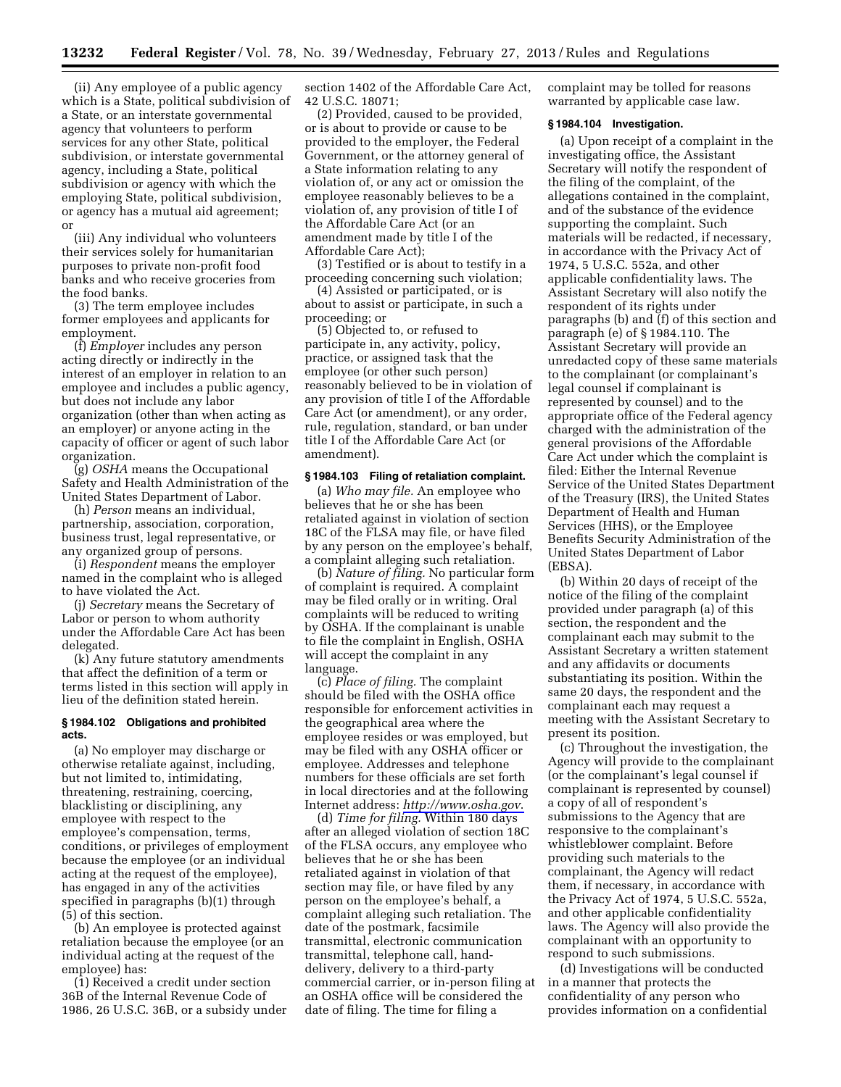(ii) Any employee of a public agency which is a State, political subdivision of a State, or an interstate governmental agency that volunteers to perform services for any other State, political subdivision, or interstate governmental agency, including a State, political subdivision or agency with which the employing State, political subdivision, or agency has a mutual aid agreement; or

(iii) Any individual who volunteers their services solely for humanitarian purposes to private non-profit food banks and who receive groceries from the food banks.

(3) The term employee includes former employees and applicants for employment.

(f) *Employer* includes any person acting directly or indirectly in the interest of an employer in relation to an employee and includes a public agency, but does not include any labor organization (other than when acting as an employer) or anyone acting in the capacity of officer or agent of such labor organization.

(g) *OSHA* means the Occupational Safety and Health Administration of the United States Department of Labor.

(h) *Person* means an individual, partnership, association, corporation, business trust, legal representative, or any organized group of persons.

(i) *Respondent* means the employer named in the complaint who is alleged to have violated the Act.

(j) *Secretary* means the Secretary of Labor or person to whom authority under the Affordable Care Act has been delegated.

(k) Any future statutory amendments that affect the definition of a term or terms listed in this section will apply in lieu of the definition stated herein.

### **§ 1984.102 Obligations and prohibited acts.**

(a) No employer may discharge or otherwise retaliate against, including, but not limited to, intimidating, threatening, restraining, coercing, blacklisting or disciplining, any employee with respect to the employee's compensation, terms, conditions, or privileges of employment because the employee (or an individual acting at the request of the employee), has engaged in any of the activities specified in paragraphs (b)(1) through (5) of this section.

(b) An employee is protected against retaliation because the employee (or an individual acting at the request of the employee) has:

(1) Received a credit under section 36B of the Internal Revenue Code of 1986, 26 U.S.C. 36B, or a subsidy under section 1402 of the Affordable Care Act, 42 U.S.C. 18071;

(2) Provided, caused to be provided, or is about to provide or cause to be provided to the employer, the Federal Government, or the attorney general of a State information relating to any violation of, or any act or omission the employee reasonably believes to be a violation of, any provision of title I of the Affordable Care Act (or an amendment made by title I of the Affordable Care Act);

(3) Testified or is about to testify in a proceeding concerning such violation;

(4) Assisted or participated, or is about to assist or participate, in such a proceeding; or

(5) Objected to, or refused to participate in, any activity, policy, practice, or assigned task that the employee (or other such person) reasonably believed to be in violation of any provision of title I of the Affordable Care Act (or amendment), or any order, rule, regulation, standard, or ban under title I of the Affordable Care Act (or amendment).

#### **§ 1984.103 Filing of retaliation complaint.**

(a) *Who may file.* An employee who believes that he or she has been retaliated against in violation of section 18C of the FLSA may file, or have filed by any person on the employee's behalf, a complaint alleging such retaliation.

(b) *Nature of filing.* No particular form of complaint is required. A complaint may be filed orally or in writing. Oral complaints will be reduced to writing by OSHA. If the complainant is unable to file the complaint in English, OSHA will accept the complaint in any language.

(c) *Place of filing.* The complaint should be filed with the OSHA office responsible for enforcement activities in the geographical area where the employee resides or was employed, but may be filed with any OSHA officer or employee. Addresses and telephone numbers for these officials are set forth in local directories and at the following Internet address: *<http://www.osha.gov>*.

(d) *Time for filing.* Within 180 days after an alleged violation of section 18C of the FLSA occurs, any employee who believes that he or she has been retaliated against in violation of that section may file, or have filed by any person on the employee's behalf, a complaint alleging such retaliation. The date of the postmark, facsimile transmittal, electronic communication transmittal, telephone call, handdelivery, delivery to a third-party commercial carrier, or in-person filing at an OSHA office will be considered the date of filing. The time for filing a

complaint may be tolled for reasons warranted by applicable case law.

#### **§ 1984.104 Investigation.**

(a) Upon receipt of a complaint in the investigating office, the Assistant Secretary will notify the respondent of the filing of the complaint, of the allegations contained in the complaint, and of the substance of the evidence supporting the complaint. Such materials will be redacted, if necessary, in accordance with the Privacy Act of 1974, 5 U.S.C. 552a, and other applicable confidentiality laws. The Assistant Secretary will also notify the respondent of its rights under paragraphs (b) and (f) of this section and paragraph (e) of § 1984.110. The Assistant Secretary will provide an unredacted copy of these same materials to the complainant (or complainant's legal counsel if complainant is represented by counsel) and to the appropriate office of the Federal agency charged with the administration of the general provisions of the Affordable Care Act under which the complaint is filed: Either the Internal Revenue Service of the United States Department of the Treasury (IRS), the United States Department of Health and Human Services (HHS), or the Employee Benefits Security Administration of the United States Department of Labor (EBSA).

(b) Within 20 days of receipt of the notice of the filing of the complaint provided under paragraph (a) of this section, the respondent and the complainant each may submit to the Assistant Secretary a written statement and any affidavits or documents substantiating its position. Within the same 20 days, the respondent and the complainant each may request a meeting with the Assistant Secretary to present its position.

(c) Throughout the investigation, the Agency will provide to the complainant (or the complainant's legal counsel if complainant is represented by counsel) a copy of all of respondent's submissions to the Agency that are responsive to the complainant's whistleblower complaint. Before providing such materials to the complainant, the Agency will redact them, if necessary, in accordance with the Privacy Act of 1974, 5 U.S.C. 552a, and other applicable confidentiality laws. The Agency will also provide the complainant with an opportunity to respond to such submissions.

(d) Investigations will be conducted in a manner that protects the confidentiality of any person who provides information on a confidential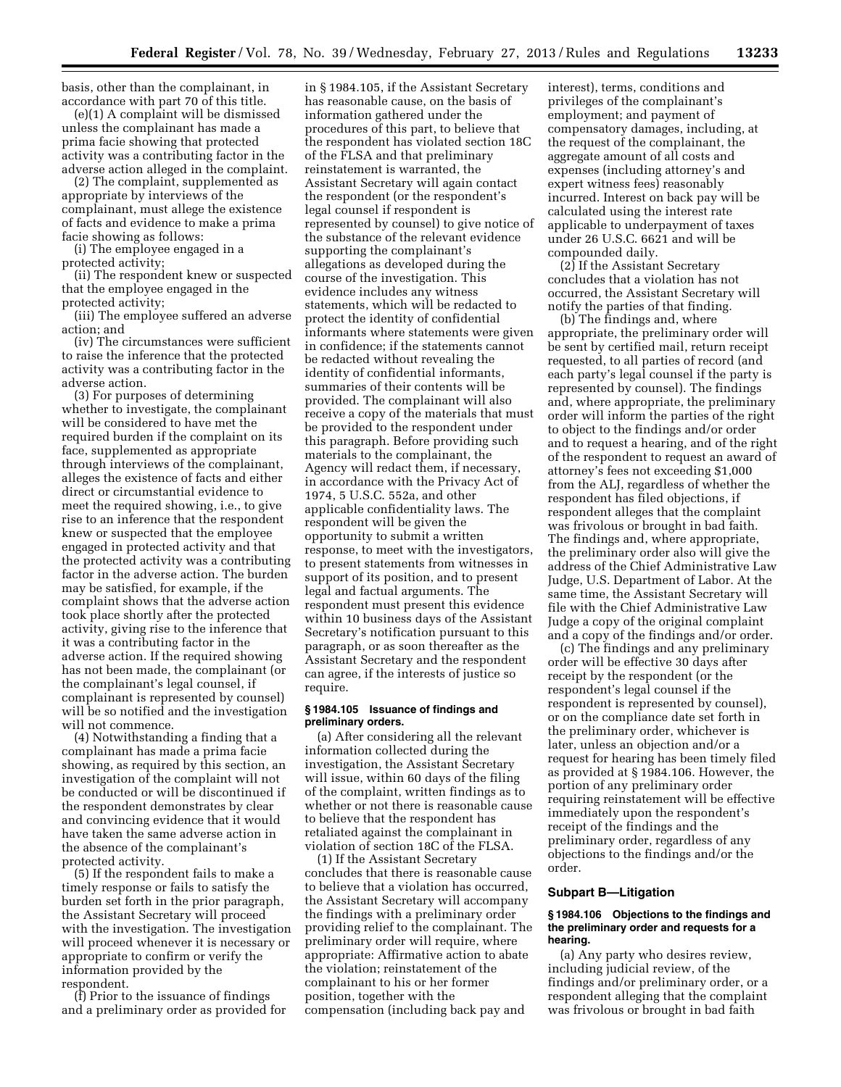basis, other than the complainant, in accordance with part 70 of this title.

(e)(1) A complaint will be dismissed unless the complainant has made a prima facie showing that protected activity was a contributing factor in the adverse action alleged in the complaint.

(2) The complaint, supplemented as appropriate by interviews of the complainant, must allege the existence of facts and evidence to make a prima facie showing as follows:

(i) The employee engaged in a protected activity;

(ii) The respondent knew or suspected that the employee engaged in the protected activity;

(iii) The employee suffered an adverse action; and

(iv) The circumstances were sufficient to raise the inference that the protected activity was a contributing factor in the adverse action.

(3) For purposes of determining whether to investigate, the complainant will be considered to have met the required burden if the complaint on its face, supplemented as appropriate through interviews of the complainant, alleges the existence of facts and either direct or circumstantial evidence to meet the required showing, i.e., to give rise to an inference that the respondent knew or suspected that the employee engaged in protected activity and that the protected activity was a contributing factor in the adverse action. The burden may be satisfied, for example, if the complaint shows that the adverse action took place shortly after the protected activity, giving rise to the inference that it was a contributing factor in the adverse action. If the required showing has not been made, the complainant (or the complainant's legal counsel, if complainant is represented by counsel) will be so notified and the investigation will not commence.

(4) Notwithstanding a finding that a complainant has made a prima facie showing, as required by this section, an investigation of the complaint will not be conducted or will be discontinued if the respondent demonstrates by clear and convincing evidence that it would have taken the same adverse action in the absence of the complainant's protected activity.

(5) If the respondent fails to make a timely response or fails to satisfy the burden set forth in the prior paragraph, the Assistant Secretary will proceed with the investigation. The investigation will proceed whenever it is necessary or appropriate to confirm or verify the information provided by the respondent.

(f) Prior to the issuance of findings and a preliminary order as provided for

in § 1984.105, if the Assistant Secretary has reasonable cause, on the basis of information gathered under the procedures of this part, to believe that the respondent has violated section 18C of the FLSA and that preliminary reinstatement is warranted, the Assistant Secretary will again contact the respondent (or the respondent's legal counsel if respondent is represented by counsel) to give notice of the substance of the relevant evidence supporting the complainant's allegations as developed during the course of the investigation. This evidence includes any witness statements, which will be redacted to protect the identity of confidential informants where statements were given in confidence; if the statements cannot be redacted without revealing the identity of confidential informants, summaries of their contents will be provided. The complainant will also receive a copy of the materials that must be provided to the respondent under this paragraph. Before providing such materials to the complainant, the Agency will redact them, if necessary, in accordance with the Privacy Act of 1974, 5 U.S.C. 552a, and other applicable confidentiality laws. The respondent will be given the opportunity to submit a written response, to meet with the investigators, to present statements from witnesses in support of its position, and to present legal and factual arguments. The respondent must present this evidence within 10 business days of the Assistant Secretary's notification pursuant to this paragraph, or as soon thereafter as the Assistant Secretary and the respondent can agree, if the interests of justice so require.

#### **§ 1984.105 Issuance of findings and preliminary orders.**

(a) After considering all the relevant information collected during the investigation, the Assistant Secretary will issue, within 60 days of the filing of the complaint, written findings as to whether or not there is reasonable cause to believe that the respondent has retaliated against the complainant in violation of section 18C of the FLSA.

(1) If the Assistant Secretary concludes that there is reasonable cause to believe that a violation has occurred, the Assistant Secretary will accompany the findings with a preliminary order providing relief to the complainant. The preliminary order will require, where appropriate: Affirmative action to abate the violation; reinstatement of the complainant to his or her former position, together with the compensation (including back pay and

interest), terms, conditions and privileges of the complainant's employment; and payment of compensatory damages, including, at the request of the complainant, the aggregate amount of all costs and expenses (including attorney's and expert witness fees) reasonably incurred. Interest on back pay will be calculated using the interest rate applicable to underpayment of taxes under 26 U.S.C. 6621 and will be compounded daily.

(2) If the Assistant Secretary concludes that a violation has not occurred, the Assistant Secretary will notify the parties of that finding.

(b) The findings and, where appropriate, the preliminary order will be sent by certified mail, return receipt requested, to all parties of record (and each party's legal counsel if the party is represented by counsel). The findings and, where appropriate, the preliminary order will inform the parties of the right to object to the findings and/or order and to request a hearing, and of the right of the respondent to request an award of attorney's fees not exceeding \$1,000 from the ALJ, regardless of whether the respondent has filed objections, if respondent alleges that the complaint was frivolous or brought in bad faith. The findings and, where appropriate, the preliminary order also will give the address of the Chief Administrative Law Judge, U.S. Department of Labor. At the same time, the Assistant Secretary will file with the Chief Administrative Law Judge a copy of the original complaint and a copy of the findings and/or order.

(c) The findings and any preliminary order will be effective 30 days after receipt by the respondent (or the respondent's legal counsel if the respondent is represented by counsel), or on the compliance date set forth in the preliminary order, whichever is later, unless an objection and/or a request for hearing has been timely filed as provided at § 1984.106. However, the portion of any preliminary order requiring reinstatement will be effective immediately upon the respondent's receipt of the findings and the preliminary order, regardless of any objections to the findings and/or the order.

#### **Subpart B—Litigation**

#### **§ 1984.106 Objections to the findings and the preliminary order and requests for a hearing.**

(a) Any party who desires review, including judicial review, of the findings and/or preliminary order, or a respondent alleging that the complaint was frivolous or brought in bad faith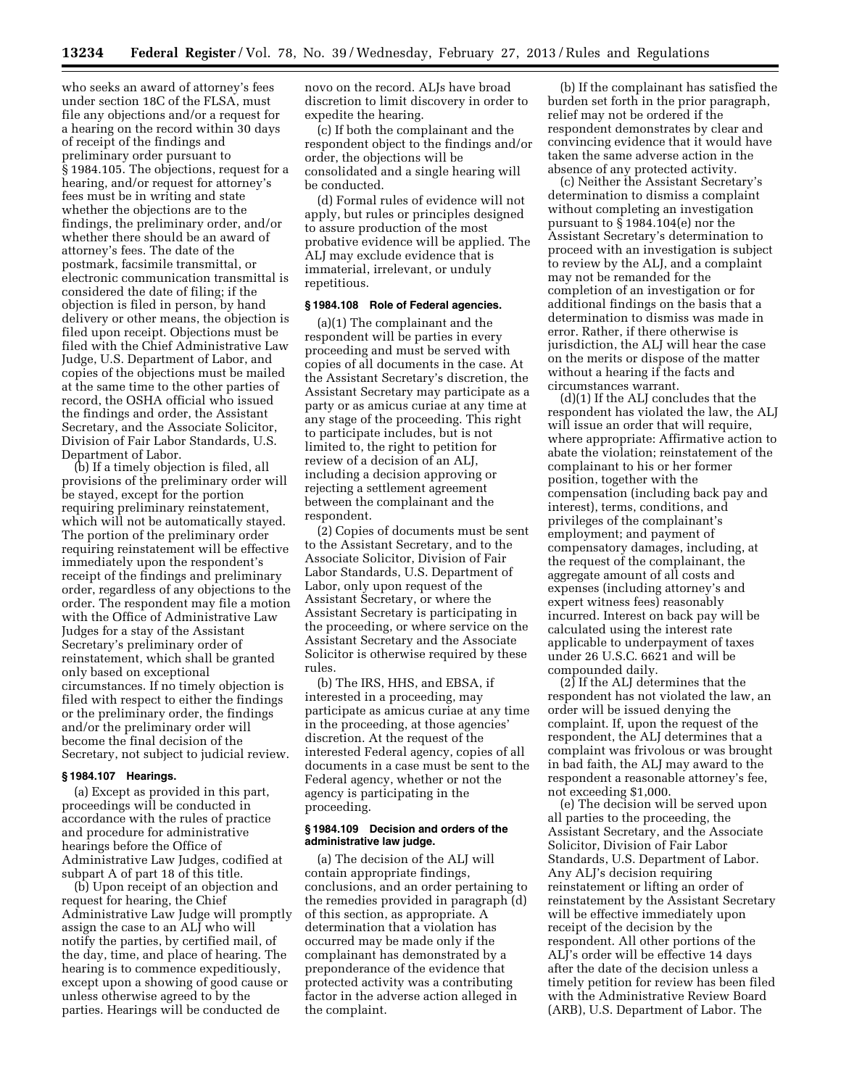who seeks an award of attorney's fees under section 18C of the FLSA, must file any objections and/or a request for a hearing on the record within 30 days of receipt of the findings and preliminary order pursuant to § 1984.105. The objections, request for a hearing, and/or request for attorney's fees must be in writing and state whether the objections are to the findings, the preliminary order, and/or whether there should be an award of attorney's fees. The date of the postmark, facsimile transmittal, or electronic communication transmittal is considered the date of filing; if the objection is filed in person, by hand delivery or other means, the objection is filed upon receipt. Objections must be filed with the Chief Administrative Law Judge, U.S. Department of Labor, and copies of the objections must be mailed at the same time to the other parties of record, the OSHA official who issued the findings and order, the Assistant Secretary, and the Associate Solicitor, Division of Fair Labor Standards, U.S. Department of Labor.

(b) If a timely objection is filed, all provisions of the preliminary order will be stayed, except for the portion requiring preliminary reinstatement, which will not be automatically stayed. The portion of the preliminary order requiring reinstatement will be effective immediately upon the respondent's receipt of the findings and preliminary order, regardless of any objections to the order. The respondent may file a motion with the Office of Administrative Law Judges for a stay of the Assistant Secretary's preliminary order of reinstatement, which shall be granted only based on exceptional circumstances. If no timely objection is filed with respect to either the findings or the preliminary order, the findings and/or the preliminary order will become the final decision of the Secretary, not subject to judicial review.

## **§ 1984.107 Hearings.**

(a) Except as provided in this part, proceedings will be conducted in accordance with the rules of practice and procedure for administrative hearings before the Office of Administrative Law Judges, codified at subpart A of part 18 of this title.

(b) Upon receipt of an objection and request for hearing, the Chief Administrative Law Judge will promptly assign the case to an ALJ who will notify the parties, by certified mail, of the day, time, and place of hearing. The hearing is to commence expeditiously, except upon a showing of good cause or unless otherwise agreed to by the parties. Hearings will be conducted de

novo on the record. ALJs have broad discretion to limit discovery in order to expedite the hearing.

(c) If both the complainant and the respondent object to the findings and/or order, the objections will be consolidated and a single hearing will be conducted.

(d) Formal rules of evidence will not apply, but rules or principles designed to assure production of the most probative evidence will be applied. The ALJ may exclude evidence that is immaterial, irrelevant, or unduly repetitious.

#### **§ 1984.108 Role of Federal agencies.**

(a)(1) The complainant and the respondent will be parties in every proceeding and must be served with copies of all documents in the case. At the Assistant Secretary's discretion, the Assistant Secretary may participate as a party or as amicus curiae at any time at any stage of the proceeding. This right to participate includes, but is not limited to, the right to petition for review of a decision of an ALJ, including a decision approving or rejecting a settlement agreement between the complainant and the respondent.

(2) Copies of documents must be sent to the Assistant Secretary, and to the Associate Solicitor, Division of Fair Labor Standards, U.S. Department of Labor, only upon request of the Assistant Secretary, or where the Assistant Secretary is participating in the proceeding, or where service on the Assistant Secretary and the Associate Solicitor is otherwise required by these rules.

(b) The IRS, HHS, and EBSA, if interested in a proceeding, may participate as amicus curiae at any time in the proceeding, at those agencies' discretion. At the request of the interested Federal agency, copies of all documents in a case must be sent to the Federal agency, whether or not the agency is participating in the proceeding.

#### **§ 1984.109 Decision and orders of the administrative law judge.**

(a) The decision of the ALJ will contain appropriate findings, conclusions, and an order pertaining to the remedies provided in paragraph (d) of this section, as appropriate. A determination that a violation has occurred may be made only if the complainant has demonstrated by a preponderance of the evidence that protected activity was a contributing factor in the adverse action alleged in the complaint.

(b) If the complainant has satisfied the burden set forth in the prior paragraph, relief may not be ordered if the respondent demonstrates by clear and convincing evidence that it would have taken the same adverse action in the absence of any protected activity.

(c) Neither the Assistant Secretary's determination to dismiss a complaint without completing an investigation pursuant to § 1984.104(e) nor the Assistant Secretary's determination to proceed with an investigation is subject to review by the ALJ, and a complaint may not be remanded for the completion of an investigation or for additional findings on the basis that a determination to dismiss was made in error. Rather, if there otherwise is jurisdiction, the ALJ will hear the case on the merits or dispose of the matter without a hearing if the facts and circumstances warrant.

(d)(1) If the ALJ concludes that the respondent has violated the law, the ALJ will issue an order that will require, where appropriate: Affirmative action to abate the violation; reinstatement of the complainant to his or her former position, together with the compensation (including back pay and interest), terms, conditions, and privileges of the complainant's employment; and payment of compensatory damages, including, at the request of the complainant, the aggregate amount of all costs and expenses (including attorney's and expert witness fees) reasonably incurred. Interest on back pay will be calculated using the interest rate applicable to underpayment of taxes under 26 U.S.C. 6621 and will be compounded daily.

(2) If the ALJ determines that the respondent has not violated the law, an order will be issued denying the complaint. If, upon the request of the respondent, the ALJ determines that a complaint was frivolous or was brought in bad faith, the ALJ may award to the respondent a reasonable attorney's fee, not exceeding \$1,000.

(e) The decision will be served upon all parties to the proceeding, the Assistant Secretary, and the Associate Solicitor, Division of Fair Labor Standards, U.S. Department of Labor. Any ALJ's decision requiring reinstatement or lifting an order of reinstatement by the Assistant Secretary will be effective immediately upon receipt of the decision by the respondent. All other portions of the ALJ's order will be effective 14 days after the date of the decision unless a timely petition for review has been filed with the Administrative Review Board (ARB), U.S. Department of Labor. The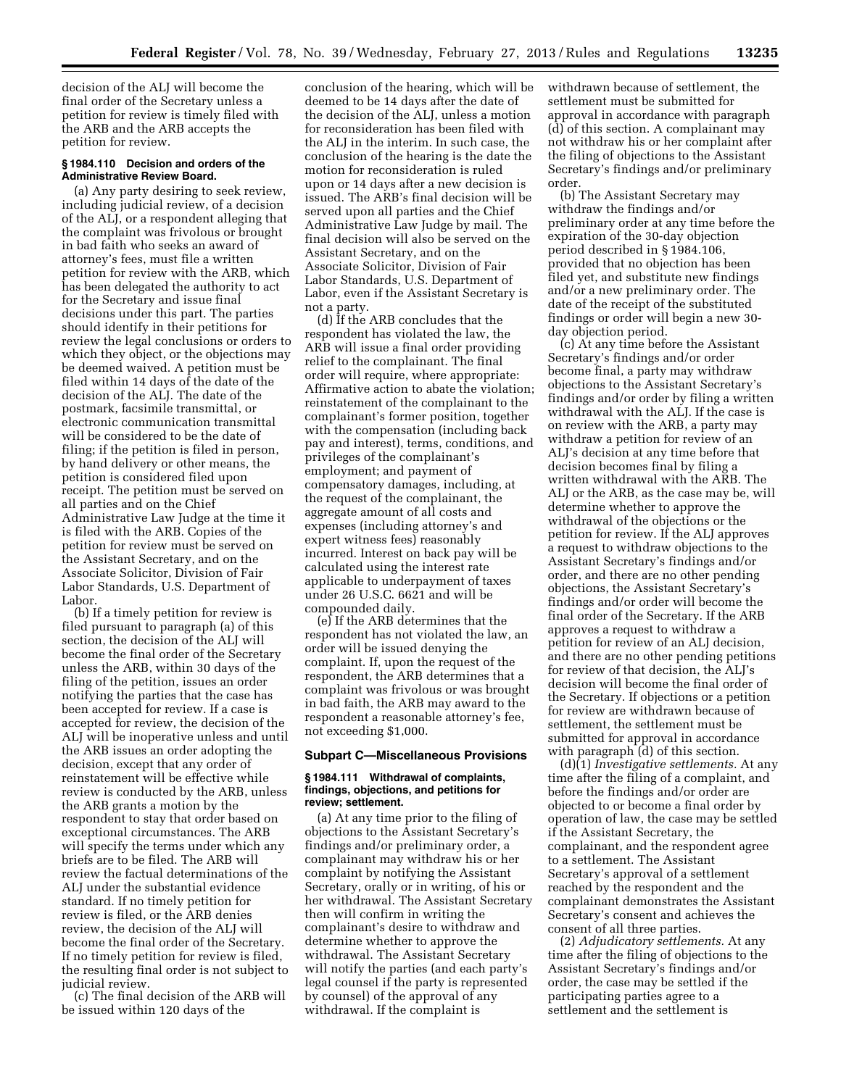decision of the ALJ will become the final order of the Secretary unless a petition for review is timely filed with the ARB and the ARB accepts the petition for review.

### **§ 1984.110 Decision and orders of the Administrative Review Board.**

(a) Any party desiring to seek review, including judicial review, of a decision of the ALJ, or a respondent alleging that the complaint was frivolous or brought in bad faith who seeks an award of attorney's fees, must file a written petition for review with the ARB, which has been delegated the authority to act for the Secretary and issue final decisions under this part. The parties should identify in their petitions for review the legal conclusions or orders to which they object, or the objections may be deemed waived. A petition must be filed within 14 days of the date of the decision of the ALJ. The date of the postmark, facsimile transmittal, or electronic communication transmittal will be considered to be the date of filing; if the petition is filed in person, by hand delivery or other means, the petition is considered filed upon receipt. The petition must be served on all parties and on the Chief Administrative Law Judge at the time it is filed with the ARB. Copies of the petition for review must be served on the Assistant Secretary, and on the Associate Solicitor, Division of Fair Labor Standards, U.S. Department of Labor.

(b) If a timely petition for review is filed pursuant to paragraph (a) of this section, the decision of the ALJ will become the final order of the Secretary unless the ARB, within 30 days of the filing of the petition, issues an order notifying the parties that the case has been accepted for review. If a case is accepted for review, the decision of the ALJ will be inoperative unless and until the ARB issues an order adopting the decision, except that any order of reinstatement will be effective while review is conducted by the ARB, unless the ARB grants a motion by the respondent to stay that order based on exceptional circumstances. The ARB will specify the terms under which any briefs are to be filed. The ARB will review the factual determinations of the ALJ under the substantial evidence standard. If no timely petition for review is filed, or the ARB denies review, the decision of the ALJ will become the final order of the Secretary. If no timely petition for review is filed, the resulting final order is not subject to judicial review.

(c) The final decision of the ARB will be issued within 120 days of the

conclusion of the hearing, which will be deemed to be 14 days after the date of the decision of the ALJ, unless a motion for reconsideration has been filed with the ALJ in the interim. In such case, the conclusion of the hearing is the date the motion for reconsideration is ruled upon or 14 days after a new decision is issued. The ARB's final decision will be served upon all parties and the Chief Administrative Law Judge by mail. The final decision will also be served on the Assistant Secretary, and on the Associate Solicitor, Division of Fair Labor Standards, U.S. Department of Labor, even if the Assistant Secretary is not a party.

(d) If the ARB concludes that the respondent has violated the law, the ARB will issue a final order providing relief to the complainant. The final order will require, where appropriate: Affirmative action to abate the violation; reinstatement of the complainant to the complainant's former position, together with the compensation (including back pay and interest), terms, conditions, and privileges of the complainant's employment; and payment of compensatory damages, including, at the request of the complainant, the aggregate amount of all costs and expenses (including attorney's and expert witness fees) reasonably incurred. Interest on back pay will be calculated using the interest rate applicable to underpayment of taxes under 26 U.S.C. 6621 and will be compounded daily.

(e) If the ARB determines that the respondent has not violated the law, an order will be issued denying the complaint. If, upon the request of the respondent, the ARB determines that a complaint was frivolous or was brought in bad faith, the ARB may award to the respondent a reasonable attorney's fee, not exceeding \$1,000.

#### **Subpart C—Miscellaneous Provisions**

#### **§ 1984.111 Withdrawal of complaints, findings, objections, and petitions for review; settlement.**

(a) At any time prior to the filing of objections to the Assistant Secretary's findings and/or preliminary order, a complainant may withdraw his or her complaint by notifying the Assistant Secretary, orally or in writing, of his or her withdrawal. The Assistant Secretary then will confirm in writing the complainant's desire to withdraw and determine whether to approve the withdrawal. The Assistant Secretary will notify the parties (and each party's legal counsel if the party is represented by counsel) of the approval of any withdrawal. If the complaint is

withdrawn because of settlement, the settlement must be submitted for approval in accordance with paragraph (d) of this section. A complainant may not withdraw his or her complaint after the filing of objections to the Assistant Secretary's findings and/or preliminary order.

(b) The Assistant Secretary may withdraw the findings and/or preliminary order at any time before the expiration of the 30-day objection period described in § 1984.106, provided that no objection has been filed yet, and substitute new findings and/or a new preliminary order. The date of the receipt of the substituted findings or order will begin a new 30 day objection period.

(c) At any time before the Assistant Secretary's findings and/or order become final, a party may withdraw objections to the Assistant Secretary's findings and/or order by filing a written withdrawal with the ALJ. If the case is on review with the ARB, a party may withdraw a petition for review of an ALJ's decision at any time before that decision becomes final by filing a written withdrawal with the ARB. The ALJ or the ARB, as the case may be, will determine whether to approve the withdrawal of the objections or the petition for review. If the ALJ approves a request to withdraw objections to the Assistant Secretary's findings and/or order, and there are no other pending objections, the Assistant Secretary's findings and/or order will become the final order of the Secretary. If the ARB approves a request to withdraw a petition for review of an ALJ decision, and there are no other pending petitions for review of that decision, the ALJ's decision will become the final order of the Secretary. If objections or a petition for review are withdrawn because of settlement, the settlement must be submitted for approval in accordance with paragraph (d) of this section.

(d)(1) *Investigative settlements.* At any time after the filing of a complaint, and before the findings and/or order are objected to or become a final order by operation of law, the case may be settled if the Assistant Secretary, the complainant, and the respondent agree to a settlement. The Assistant Secretary's approval of a settlement reached by the respondent and the complainant demonstrates the Assistant Secretary's consent and achieves the consent of all three parties.

(2) *Adjudicatory settlements.* At any time after the filing of objections to the Assistant Secretary's findings and/or order, the case may be settled if the participating parties agree to a settlement and the settlement is